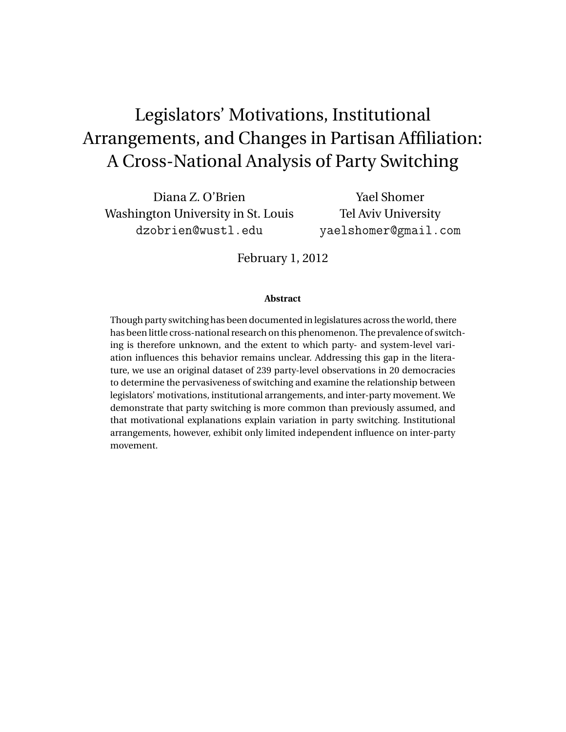# Legislators' Motivations, Institutional Arrangements, and Changes in Partisan Affiliation: A Cross-National Analysis of Party Switching

Diana Z. O'Brien Washington University in St. Louis dzobrien@wustl.edu

Yael Shomer Tel Aviv University yaelshomer@gmail.com

February 1, 2012

#### **Abstract**

Though party switching has been documented in legislatures across the world, there has been little cross-national research on this phenomenon. The prevalence of switching is therefore unknown, and the extent to which party- and system-level variation influences this behavior remains unclear. Addressing this gap in the literature, we use an original dataset of 239 party-level observations in 20 democracies to determine the pervasiveness of switching and examine the relationship between legislators' motivations, institutional arrangements, and inter-party movement. We demonstrate that party switching is more common than previously assumed, and that motivational explanations explain variation in party switching. Institutional arrangements, however, exhibit only limited independent influence on inter-party movement.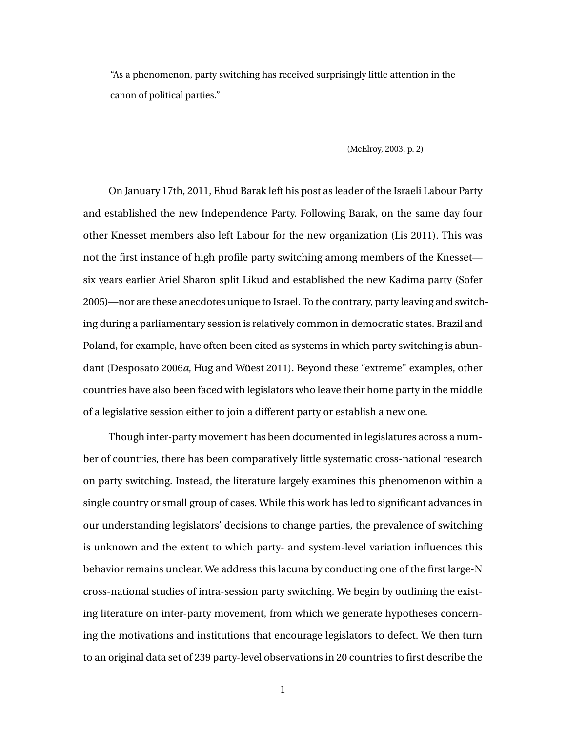"As a phenomenon, party switching has received surprisingly little attention in the canon of political parties."

#### (McElroy, 2003, p. 2)

On January 17th, 2011, Ehud Barak left his post as leader of the Israeli Labour Party and established the new Independence Party. Following Barak, on the same day four other Knesset members also left Labour for the new organization (Lis 2011). This was not the first instance of high profile party switching among members of the Knesset six years earlier Ariel Sharon split Likud and established the new Kadima party (Sofer 2005)—nor are these anecdotes unique to Israel. To the contrary, party leaving and switching during a parliamentary session is relatively common in democratic states. Brazil and Poland, for example, have often been cited as systems in which party switching is abundant (Desposato 2006*a*, Hug and Wüest 2011). Beyond these "extreme" examples, other countries have also been faced with legislators who leave their home party in the middle of a legislative session either to join a different party or establish a new one.

Though inter-party movement has been documented in legislatures across a number of countries, there has been comparatively little systematic cross-national research on party switching. Instead, the literature largely examines this phenomenon within a single country or small group of cases. While this work has led to significant advances in our understanding legislators' decisions to change parties, the prevalence of switching is unknown and the extent to which party- and system-level variation influences this behavior remains unclear. We address this lacuna by conducting one of the first large-N cross-national studies of intra-session party switching. We begin by outlining the existing literature on inter-party movement, from which we generate hypotheses concerning the motivations and institutions that encourage legislators to defect. We then turn to an original data set of 239 party-level observations in 20 countries to first describe the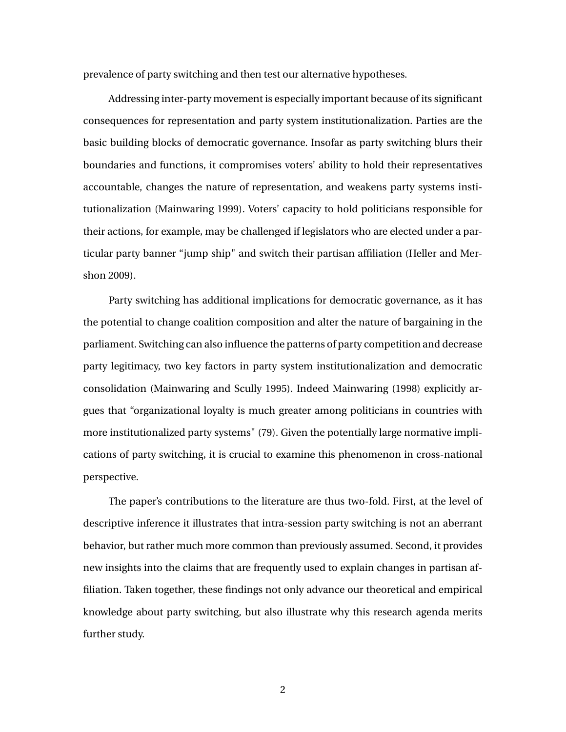prevalence of party switching and then test our alternative hypotheses.

Addressing inter-party movement is especially important because of its significant consequences for representation and party system institutionalization. Parties are the basic building blocks of democratic governance. Insofar as party switching blurs their boundaries and functions, it compromises voters' ability to hold their representatives accountable, changes the nature of representation, and weakens party systems institutionalization (Mainwaring 1999). Voters' capacity to hold politicians responsible for their actions, for example, may be challenged if legislators who are elected under a particular party banner "jump ship" and switch their partisan affiliation (Heller and Mershon 2009).

Party switching has additional implications for democratic governance, as it has the potential to change coalition composition and alter the nature of bargaining in the parliament. Switching can also influence the patterns of party competition and decrease party legitimacy, two key factors in party system institutionalization and democratic consolidation (Mainwaring and Scully 1995). Indeed Mainwaring (1998) explicitly argues that "organizational loyalty is much greater among politicians in countries with more institutionalized party systems" (79). Given the potentially large normative implications of party switching, it is crucial to examine this phenomenon in cross-national perspective.

The paper's contributions to the literature are thus two-fold. First, at the level of descriptive inference it illustrates that intra-session party switching is not an aberrant behavior, but rather much more common than previously assumed. Second, it provides new insights into the claims that are frequently used to explain changes in partisan affiliation. Taken together, these findings not only advance our theoretical and empirical knowledge about party switching, but also illustrate why this research agenda merits further study.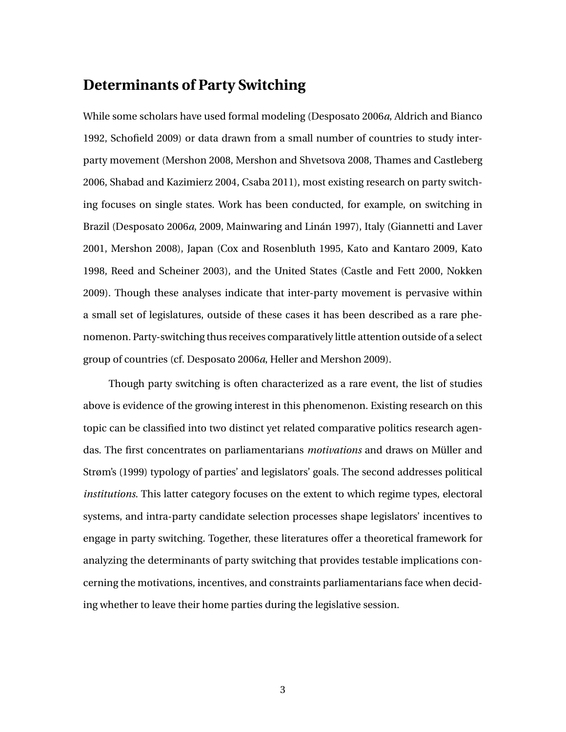## **Determinants of Party Switching**

While some scholars have used formal modeling (Desposato 2006*a*, Aldrich and Bianco 1992, Schofield 2009) or data drawn from a small number of countries to study interparty movement (Mershon 2008, Mershon and Shvetsova 2008, Thames and Castleberg 2006, Shabad and Kazimierz 2004, Csaba 2011), most existing research on party switching focuses on single states. Work has been conducted, for example, on switching in Brazil (Desposato 2006*a*, 2009, Mainwaring and Linán 1997), Italy (Giannetti and Laver 2001, Mershon 2008), Japan (Cox and Rosenbluth 1995, Kato and Kantaro 2009, Kato 1998, Reed and Scheiner 2003), and the United States (Castle and Fett 2000, Nokken 2009). Though these analyses indicate that inter-party movement is pervasive within a small set of legislatures, outside of these cases it has been described as a rare phenomenon. Party-switching thus receives comparatively little attention outside of a select group of countries (cf. Desposato 2006*a*, Heller and Mershon 2009).

Though party switching is often characterized as a rare event, the list of studies above is evidence of the growing interest in this phenomenon. Existing research on this topic can be classified into two distinct yet related comparative politics research agendas. The first concentrates on parliamentarians *motivations* and draws on Müller and Strøm's (1999) typology of parties' and legislators' goals. The second addresses political *institutions*. This latter category focuses on the extent to which regime types, electoral systems, and intra-party candidate selection processes shape legislators' incentives to engage in party switching. Together, these literatures offer a theoretical framework for analyzing the determinants of party switching that provides testable implications concerning the motivations, incentives, and constraints parliamentarians face when deciding whether to leave their home parties during the legislative session.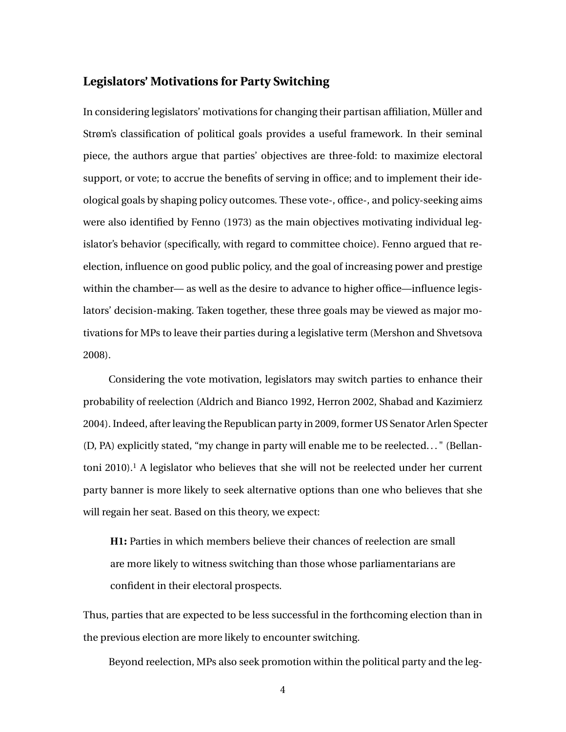#### **Legislators' Motivations for Party Switching**

In considering legislators' motivations for changing their partisan affiliation, Müller and Strøm's classification of political goals provides a useful framework. In their seminal piece, the authors argue that parties' objectives are three-fold: to maximize electoral support, or vote; to accrue the benefits of serving in office; and to implement their ideological goals by shaping policy outcomes. These vote-, office-, and policy-seeking aims were also identified by Fenno (1973) as the main objectives motivating individual legislator's behavior (specifically, with regard to committee choice). Fenno argued that reelection, influence on good public policy, and the goal of increasing power and prestige within the chamber— as well as the desire to advance to higher office—influence legislators' decision-making. Taken together, these three goals may be viewed as major motivations for MPs to leave their parties during a legislative term (Mershon and Shvetsova 2008).

Considering the vote motivation, legislators may switch parties to enhance their probability of reelection (Aldrich and Bianco 1992, Herron 2002, Shabad and Kazimierz 2004). Indeed, after leaving the Republican party in 2009, former US Senator Arlen Specter (D, PA) explicitly stated, "my change in party will enable me to be reelected. . . " (Bellantoni 2010).<sup>1</sup> A legislator who believes that she will not be reelected under her current party banner is more likely to seek alternative options than one who believes that she will regain her seat. Based on this theory, we expect:

**H1:** Parties in which members believe their chances of reelection are small are more likely to witness switching than those whose parliamentarians are confident in their electoral prospects.

Thus, parties that are expected to be less successful in the forthcoming election than in the previous election are more likely to encounter switching.

Beyond reelection, MPs also seek promotion within the political party and the leg-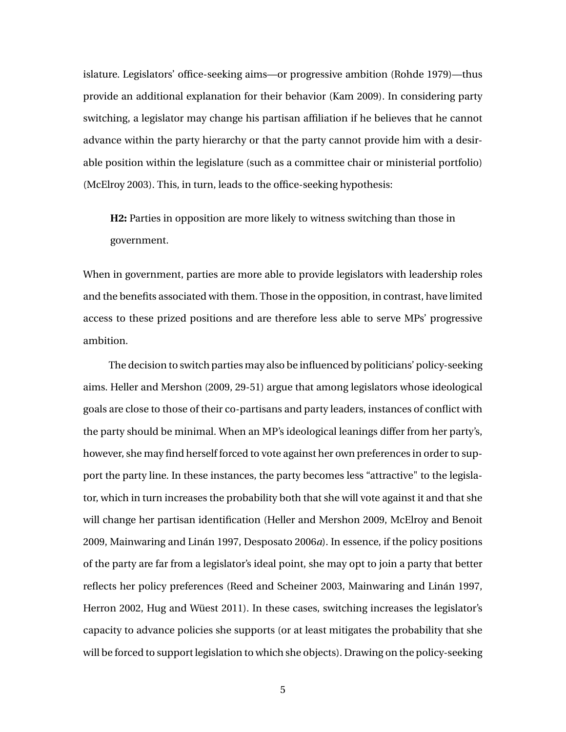islature. Legislators' office-seeking aims—or progressive ambition (Rohde 1979)—thus provide an additional explanation for their behavior (Kam 2009). In considering party switching, a legislator may change his partisan affiliation if he believes that he cannot advance within the party hierarchy or that the party cannot provide him with a desirable position within the legislature (such as a committee chair or ministerial portfolio) (McElroy 2003). This, in turn, leads to the office-seeking hypothesis:

**H2:** Parties in opposition are more likely to witness switching than those in government.

When in government, parties are more able to provide legislators with leadership roles and the benefits associated with them. Those in the opposition, in contrast, have limited access to these prized positions and are therefore less able to serve MPs' progressive ambition.

The decision to switch parties may also be influenced by politicians' policy-seeking aims. Heller and Mershon (2009, 29-51) argue that among legislators whose ideological goals are close to those of their co-partisans and party leaders, instances of conflict with the party should be minimal. When an MP's ideological leanings differ from her party's, however, she may find herself forced to vote against her own preferences in order to support the party line. In these instances, the party becomes less "attractive" to the legislator, which in turn increases the probability both that she will vote against it and that she will change her partisan identification (Heller and Mershon 2009, McElroy and Benoit 2009, Mainwaring and Linán 1997, Desposato 2006*a*). In essence, if the policy positions of the party are far from a legislator's ideal point, she may opt to join a party that better reflects her policy preferences (Reed and Scheiner 2003, Mainwaring and Linán 1997, Herron 2002, Hug and Wüest 2011). In these cases, switching increases the legislator's capacity to advance policies she supports (or at least mitigates the probability that she will be forced to support legislation to which she objects). Drawing on the policy-seeking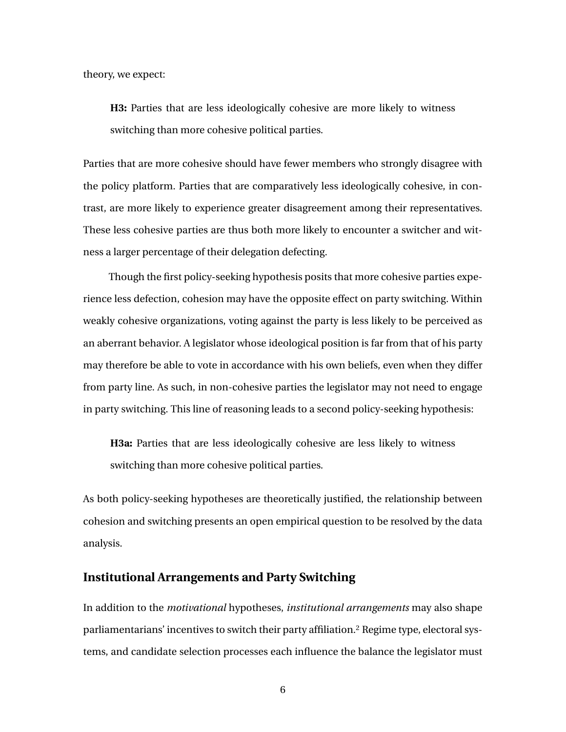theory, we expect:

**H3:** Parties that are less ideologically cohesive are more likely to witness switching than more cohesive political parties.

Parties that are more cohesive should have fewer members who strongly disagree with the policy platform. Parties that are comparatively less ideologically cohesive, in contrast, are more likely to experience greater disagreement among their representatives. These less cohesive parties are thus both more likely to encounter a switcher and witness a larger percentage of their delegation defecting.

Though the first policy-seeking hypothesis posits that more cohesive parties experience less defection, cohesion may have the opposite effect on party switching. Within weakly cohesive organizations, voting against the party is less likely to be perceived as an aberrant behavior. A legislator whose ideological position is far from that of his party may therefore be able to vote in accordance with his own beliefs, even when they differ from party line. As such, in non-cohesive parties the legislator may not need to engage in party switching. This line of reasoning leads to a second policy-seeking hypothesis:

**H3a:** Parties that are less ideologically cohesive are less likely to witness switching than more cohesive political parties.

As both policy-seeking hypotheses are theoretically justified, the relationship between cohesion and switching presents an open empirical question to be resolved by the data analysis.

### **Institutional Arrangements and Party Switching**

In addition to the *motivational* hypotheses, *institutional arrangements* may also shape parliamentarians' incentives to switch their party affiliation.<sup>2</sup> Regime type, electoral systems, and candidate selection processes each influence the balance the legislator must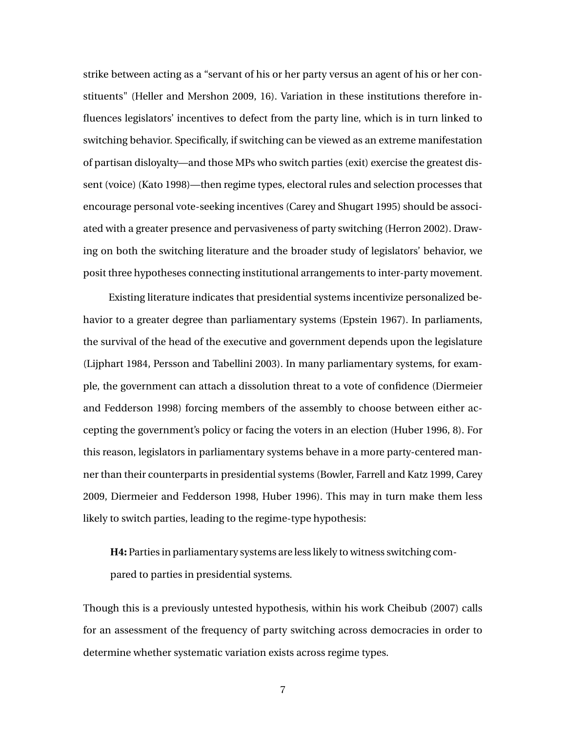strike between acting as a "servant of his or her party versus an agent of his or her constituents" (Heller and Mershon 2009, 16). Variation in these institutions therefore influences legislators' incentives to defect from the party line, which is in turn linked to switching behavior. Specifically, if switching can be viewed as an extreme manifestation of partisan disloyalty—and those MPs who switch parties (exit) exercise the greatest dissent (voice) (Kato 1998)—then regime types, electoral rules and selection processes that encourage personal vote-seeking incentives (Carey and Shugart 1995) should be associated with a greater presence and pervasiveness of party switching (Herron 2002). Drawing on both the switching literature and the broader study of legislators' behavior, we posit three hypotheses connecting institutional arrangements to inter-party movement.

Existing literature indicates that presidential systems incentivize personalized behavior to a greater degree than parliamentary systems (Epstein 1967). In parliaments, the survival of the head of the executive and government depends upon the legislature (Lijphart 1984, Persson and Tabellini 2003). In many parliamentary systems, for example, the government can attach a dissolution threat to a vote of confidence (Diermeier and Fedderson 1998) forcing members of the assembly to choose between either accepting the government's policy or facing the voters in an election (Huber 1996, 8). For this reason, legislators in parliamentary systems behave in a more party-centered manner than their counterparts in presidential systems (Bowler, Farrell and Katz 1999, Carey 2009, Diermeier and Fedderson 1998, Huber 1996). This may in turn make them less likely to switch parties, leading to the regime-type hypothesis:

**H4:** Parties in parliamentary systems are less likely to witness switching compared to parties in presidential systems.

Though this is a previously untested hypothesis, within his work Cheibub (2007) calls for an assessment of the frequency of party switching across democracies in order to determine whether systematic variation exists across regime types.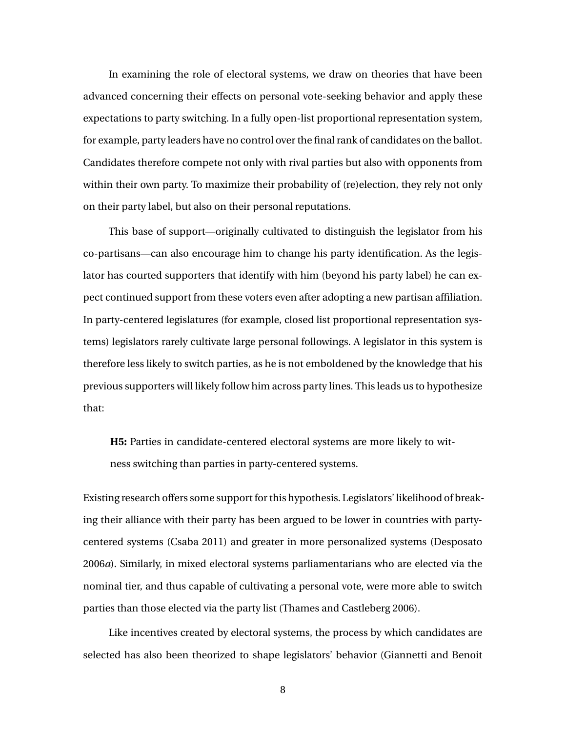In examining the role of electoral systems, we draw on theories that have been advanced concerning their effects on personal vote-seeking behavior and apply these expectations to party switching. In a fully open-list proportional representation system, for example, party leaders have no control over the final rank of candidates on the ballot. Candidates therefore compete not only with rival parties but also with opponents from within their own party. To maximize their probability of (re)election, they rely not only on their party label, but also on their personal reputations.

This base of support—originally cultivated to distinguish the legislator from his co-partisans—can also encourage him to change his party identification. As the legislator has courted supporters that identify with him (beyond his party label) he can expect continued support from these voters even after adopting a new partisan affiliation. In party-centered legislatures (for example, closed list proportional representation systems) legislators rarely cultivate large personal followings. A legislator in this system is therefore less likely to switch parties, as he is not emboldened by the knowledge that his previous supporters will likely follow him across party lines. This leads us to hypothesize that:

**H5:** Parties in candidate-centered electoral systems are more likely to witness switching than parties in party-centered systems.

Existing research offers some support for this hypothesis. Legislators' likelihood of breaking their alliance with their party has been argued to be lower in countries with partycentered systems (Csaba 2011) and greater in more personalized systems (Desposato 2006*a*). Similarly, in mixed electoral systems parliamentarians who are elected via the nominal tier, and thus capable of cultivating a personal vote, were more able to switch parties than those elected via the party list (Thames and Castleberg 2006).

Like incentives created by electoral systems, the process by which candidates are selected has also been theorized to shape legislators' behavior (Giannetti and Benoit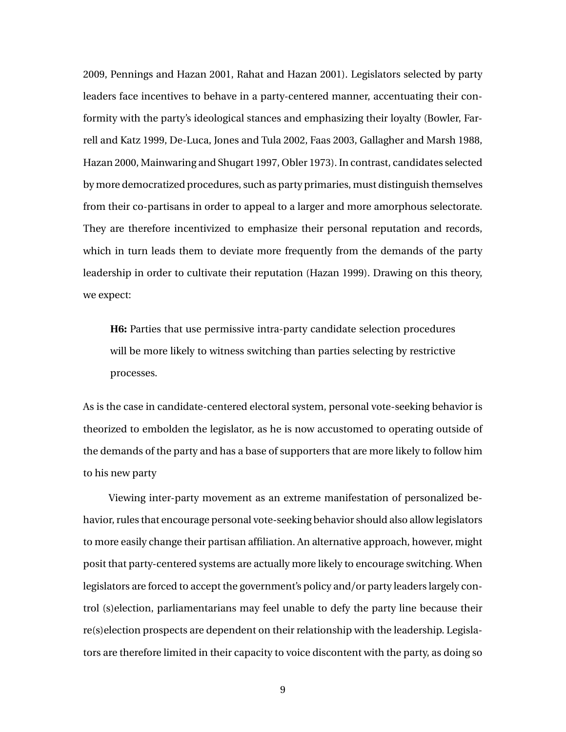2009, Pennings and Hazan 2001, Rahat and Hazan 2001). Legislators selected by party leaders face incentives to behave in a party-centered manner, accentuating their conformity with the party's ideological stances and emphasizing their loyalty (Bowler, Farrell and Katz 1999, De-Luca, Jones and Tula 2002, Faas 2003, Gallagher and Marsh 1988, Hazan 2000, Mainwaring and Shugart 1997, Obler 1973). In contrast, candidates selected by more democratized procedures, such as party primaries, must distinguish themselves from their co-partisans in order to appeal to a larger and more amorphous selectorate. They are therefore incentivized to emphasize their personal reputation and records, which in turn leads them to deviate more frequently from the demands of the party leadership in order to cultivate their reputation (Hazan 1999). Drawing on this theory, we expect:

**H6:** Parties that use permissive intra-party candidate selection procedures will be more likely to witness switching than parties selecting by restrictive processes.

As is the case in candidate-centered electoral system, personal vote-seeking behavior is theorized to embolden the legislator, as he is now accustomed to operating outside of the demands of the party and has a base of supporters that are more likely to follow him to his new party

Viewing inter-party movement as an extreme manifestation of personalized behavior, rules that encourage personal vote-seeking behavior should also allow legislators to more easily change their partisan affiliation. An alternative approach, however, might posit that party-centered systems are actually more likely to encourage switching. When legislators are forced to accept the government's policy and/or party leaders largely control (s)election, parliamentarians may feel unable to defy the party line because their re(s)election prospects are dependent on their relationship with the leadership. Legislators are therefore limited in their capacity to voice discontent with the party, as doing so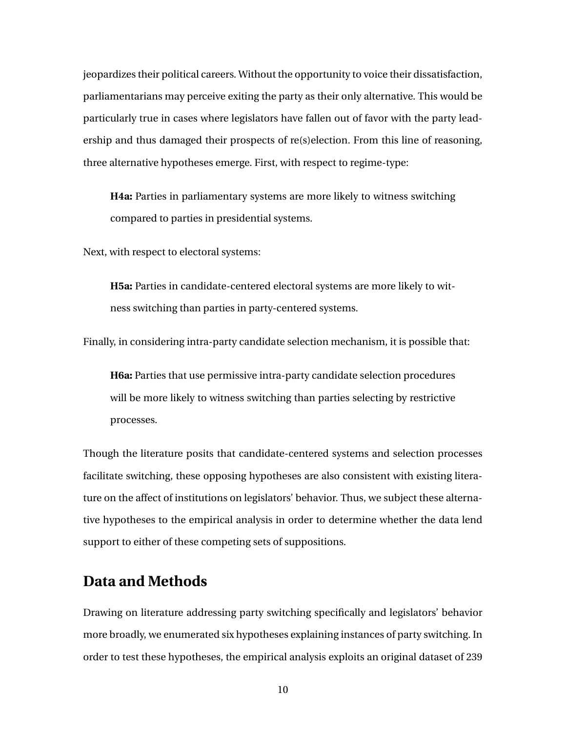jeopardizes their political careers. Without the opportunity to voice their dissatisfaction, parliamentarians may perceive exiting the party as their only alternative. This would be particularly true in cases where legislators have fallen out of favor with the party leadership and thus damaged their prospects of re(s)election. From this line of reasoning, three alternative hypotheses emerge. First, with respect to regime-type:

**H4a:** Parties in parliamentary systems are more likely to witness switching compared to parties in presidential systems.

Next, with respect to electoral systems:

**H5a:** Parties in candidate-centered electoral systems are more likely to witness switching than parties in party-centered systems.

Finally, in considering intra-party candidate selection mechanism, it is possible that:

**H6a:** Parties that use permissive intra-party candidate selection procedures will be more likely to witness switching than parties selecting by restrictive processes.

Though the literature posits that candidate-centered systems and selection processes facilitate switching, these opposing hypotheses are also consistent with existing literature on the affect of institutions on legislators' behavior. Thus, we subject these alternative hypotheses to the empirical analysis in order to determine whether the data lend support to either of these competing sets of suppositions.

### **Data and Methods**

Drawing on literature addressing party switching specifically and legislators' behavior more broadly, we enumerated six hypotheses explaining instances of party switching. In order to test these hypotheses, the empirical analysis exploits an original dataset of 239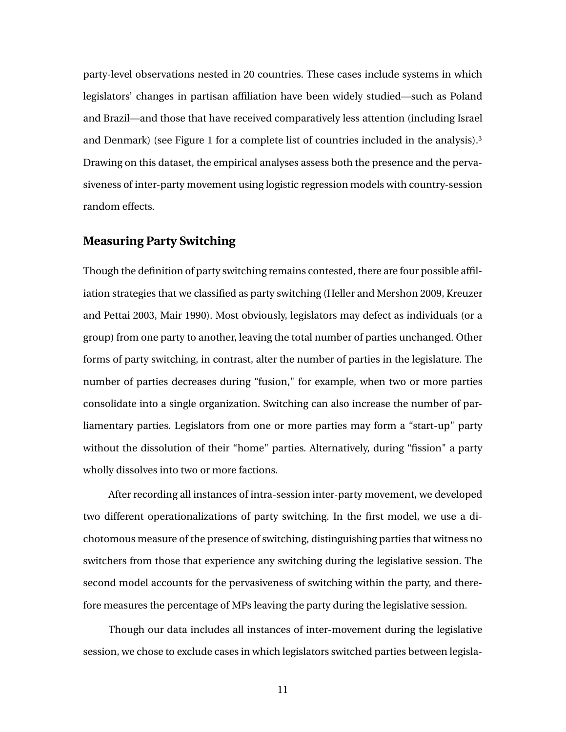party-level observations nested in 20 countries. These cases include systems in which legislators' changes in partisan affiliation have been widely studied—such as Poland and Brazil—and those that have received comparatively less attention (including Israel and Denmark) (see Figure 1 for a complete list of countries included in the analysis).<sup>3</sup> Drawing on this dataset, the empirical analyses assess both the presence and the pervasiveness of inter-party movement using logistic regression models with country-session random effects.

### **Measuring Party Switching**

Though the definition of party switching remains contested, there are four possible affiliation strategies that we classified as party switching (Heller and Mershon 2009, Kreuzer and Pettai 2003, Mair 1990). Most obviously, legislators may defect as individuals (or a group) from one party to another, leaving the total number of parties unchanged. Other forms of party switching, in contrast, alter the number of parties in the legislature. The number of parties decreases during "fusion," for example, when two or more parties consolidate into a single organization. Switching can also increase the number of parliamentary parties. Legislators from one or more parties may form a "start-up" party without the dissolution of their "home" parties. Alternatively, during "fission" a party wholly dissolves into two or more factions.

After recording all instances of intra-session inter-party movement, we developed two different operationalizations of party switching. In the first model, we use a dichotomous measure of the presence of switching, distinguishing parties that witness no switchers from those that experience any switching during the legislative session. The second model accounts for the pervasiveness of switching within the party, and therefore measures the percentage of MPs leaving the party during the legislative session.

Though our data includes all instances of inter-movement during the legislative session, we chose to exclude cases in which legislators switched parties between legisla-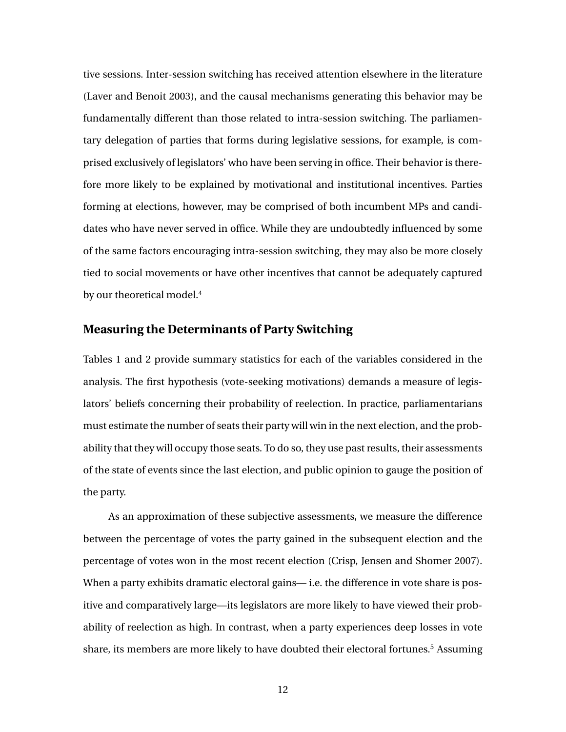tive sessions. Inter-session switching has received attention elsewhere in the literature (Laver and Benoit 2003), and the causal mechanisms generating this behavior may be fundamentally different than those related to intra-session switching. The parliamentary delegation of parties that forms during legislative sessions, for example, is comprised exclusively of legislators' who have been serving in office. Their behavior is therefore more likely to be explained by motivational and institutional incentives. Parties forming at elections, however, may be comprised of both incumbent MPs and candidates who have never served in office. While they are undoubtedly influenced by some of the same factors encouraging intra-session switching, they may also be more closely tied to social movements or have other incentives that cannot be adequately captured by our theoretical model.<sup>4</sup>

### **Measuring the Determinants of Party Switching**

Tables 1 and 2 provide summary statistics for each of the variables considered in the analysis. The first hypothesis (vote-seeking motivations) demands a measure of legislators' beliefs concerning their probability of reelection. In practice, parliamentarians must estimate the number of seats their party will win in the next election, and the probability that they will occupy those seats. To do so, they use past results, their assessments of the state of events since the last election, and public opinion to gauge the position of the party.

As an approximation of these subjective assessments, we measure the difference between the percentage of votes the party gained in the subsequent election and the percentage of votes won in the most recent election (Crisp, Jensen and Shomer 2007). When a party exhibits dramatic electoral gains— i.e. the difference in vote share is positive and comparatively large—its legislators are more likely to have viewed their probability of reelection as high. In contrast, when a party experiences deep losses in vote share, its members are more likely to have doubted their electoral fortunes.<sup>5</sup> Assuming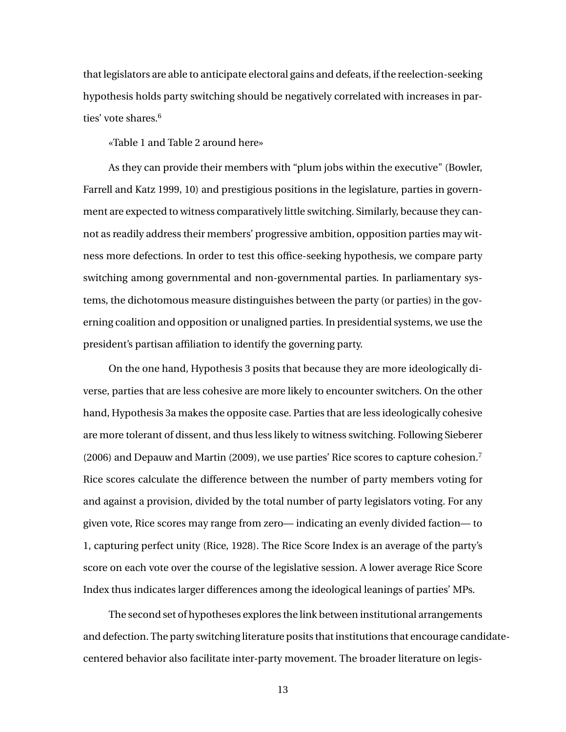that legislators are able to anticipate electoral gains and defeats, if the reelection-seeking hypothesis holds party switching should be negatively correlated with increases in parties' vote shares.<sup>6</sup>

«Table 1 and Table 2 around here»

As they can provide their members with "plum jobs within the executive" (Bowler, Farrell and Katz 1999, 10) and prestigious positions in the legislature, parties in government are expected to witness comparatively little switching. Similarly, because they cannot as readily address their members' progressive ambition, opposition parties may witness more defections. In order to test this office-seeking hypothesis, we compare party switching among governmental and non-governmental parties. In parliamentary systems, the dichotomous measure distinguishes between the party (or parties) in the governing coalition and opposition or unaligned parties. In presidential systems, we use the president's partisan affiliation to identify the governing party.

On the one hand, Hypothesis 3 posits that because they are more ideologically diverse, parties that are less cohesive are more likely to encounter switchers. On the other hand, Hypothesis 3a makes the opposite case. Parties that are less ideologically cohesive are more tolerant of dissent, and thus less likely to witness switching. Following Sieberer (2006) and Depauw and Martin (2009), we use parties' Rice scores to capture cohesion.<sup>7</sup> Rice scores calculate the difference between the number of party members voting for and against a provision, divided by the total number of party legislators voting. For any given vote, Rice scores may range from zero— indicating an evenly divided faction— to 1, capturing perfect unity (Rice, 1928). The Rice Score Index is an average of the party's score on each vote over the course of the legislative session. A lower average Rice Score Index thus indicates larger differences among the ideological leanings of parties' MPs.

The second set of hypotheses explores the link between institutional arrangements and defection. The party switching literature posits that institutions that encourage candidatecentered behavior also facilitate inter-party movement. The broader literature on legis-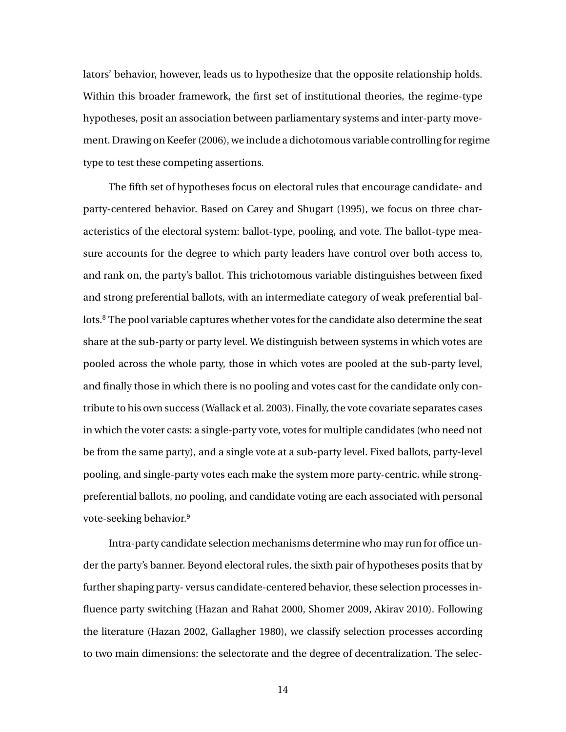lators' behavior, however, leads us to hypothesize that the opposite relationship holds. Within this broader framework, the first set of institutional theories, the regime-type hypotheses, posit an association between parliamentary systems and inter-party movement. Drawing on Keefer (2006), we include a dichotomous variable controlling for regime type to test these competing assertions.

The fifth set of hypotheses focus on electoral rules that encourage candidate- and party-centered behavior. Based on Carey and Shugart (1995), we focus on three characteristics of the electoral system: ballot-type, pooling, and vote. The ballot-type measure accounts for the degree to which party leaders have control over both access to, and rank on, the party's ballot. This trichotomous variable distinguishes between fixed and strong preferential ballots, with an intermediate category of weak preferential ballots.<sup>8</sup> The pool variable captures whether votes for the candidate also determine the seat share at the sub-party or party level. We distinguish between systems in which votes are pooled across the whole party, those in which votes are pooled at the sub-party level, and finally those in which there is no pooling and votes cast for the candidate only contribute to his own success (Wallack et al. 2003). Finally, the vote covariate separates cases in which the voter casts: a single-party vote, votes for multiple candidates (who need not be from the same party), and a single vote at a sub-party level. Fixed ballots, party-level pooling, and single-party votes each make the system more party-centric, while strongpreferential ballots, no pooling, and candidate voting are each associated with personal vote-seeking behavior.<sup>9</sup>

Intra-party candidate selection mechanisms determine who may run for office under the party's banner. Beyond electoral rules, the sixth pair of hypotheses posits that by further shaping party- versus candidate-centered behavior, these selection processes influence party switching (Hazan and Rahat 2000, Shomer 2009, Akirav 2010). Following the literature (Hazan 2002, Gallagher 1980), we classify selection processes according to two main dimensions: the selectorate and the degree of decentralization. The selec-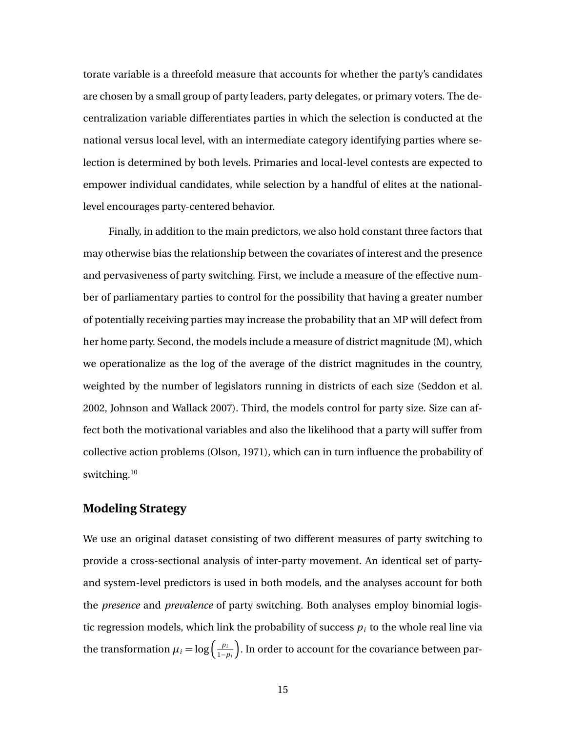torate variable is a threefold measure that accounts for whether the party's candidates are chosen by a small group of party leaders, party delegates, or primary voters. The decentralization variable differentiates parties in which the selection is conducted at the national versus local level, with an intermediate category identifying parties where selection is determined by both levels. Primaries and local-level contests are expected to empower individual candidates, while selection by a handful of elites at the nationallevel encourages party-centered behavior.

Finally, in addition to the main predictors, we also hold constant three factors that may otherwise bias the relationship between the covariates of interest and the presence and pervasiveness of party switching. First, we include a measure of the effective number of parliamentary parties to control for the possibility that having a greater number of potentially receiving parties may increase the probability that an MP will defect from her home party. Second, the models include a measure of district magnitude (M), which we operationalize as the log of the average of the district magnitudes in the country, weighted by the number of legislators running in districts of each size (Seddon et al. 2002, Johnson and Wallack 2007). Third, the models control for party size. Size can affect both the motivational variables and also the likelihood that a party will suffer from collective action problems (Olson, 1971), which can in turn influence the probability of switching.<sup>10</sup>

### **Modeling Strategy**

We use an original dataset consisting of two different measures of party switching to provide a cross-sectional analysis of inter-party movement. An identical set of partyand system-level predictors is used in both models, and the analyses account for both the *presence* and *prevalence* of party switching. Both analyses employ binomial logistic regression models, which link the probability of success  $p_i$  to the whole real line via the transformation  $\mu_i = \log \left( \frac{p_i}{1-p_i} \right)$ 1−*p<sup>i</sup>* . In order to account for the covariance between par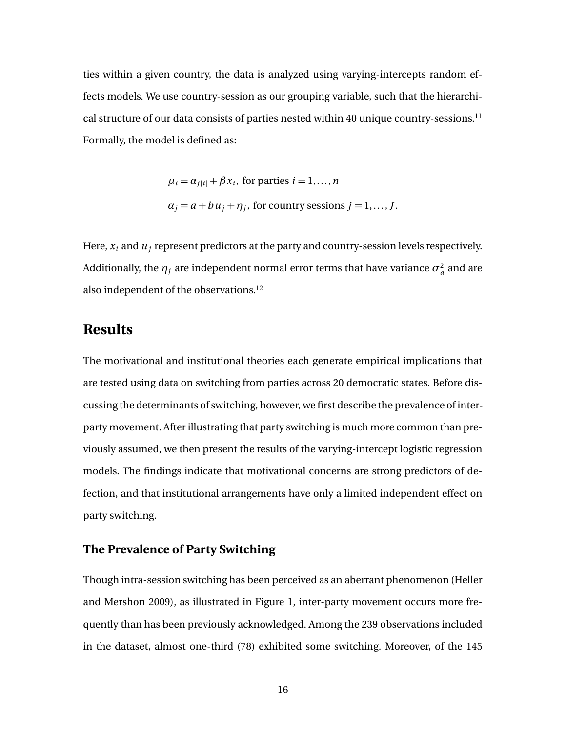ties within a given country, the data is analyzed using varying-intercepts random effects models. We use country-session as our grouping variable, such that the hierarchical structure of our data consists of parties nested within 40 unique country-sessions.<sup>11</sup> Formally, the model is defined as:

$$
\mu_i = \alpha_{j[i]} + \beta x_i
$$
, for parties  $i = 1,..., n$   
\n $\alpha_j = a + b u_j + \eta_j$ , for country sessions  $j = 1,..., J$ .

Here,  $x_i$  and  $u_j$  represent predictors at the party and country-session levels respectively. Additionally, the  $\eta_j$  are independent normal error terms that have variance  $\sigma^2_a$  and are also independent of the observations.<sup>12</sup>

## **Results**

The motivational and institutional theories each generate empirical implications that are tested using data on switching from parties across 20 democratic states. Before discussing the determinants of switching, however, we first describe the prevalence of interparty movement. After illustrating that party switching is much more common than previously assumed, we then present the results of the varying-intercept logistic regression models. The findings indicate that motivational concerns are strong predictors of defection, and that institutional arrangements have only a limited independent effect on party switching.

### **The Prevalence of Party Switching**

Though intra-session switching has been perceived as an aberrant phenomenon (Heller and Mershon 2009), as illustrated in Figure 1, inter-party movement occurs more frequently than has been previously acknowledged. Among the 239 observations included in the dataset, almost one-third (78) exhibited some switching. Moreover, of the 145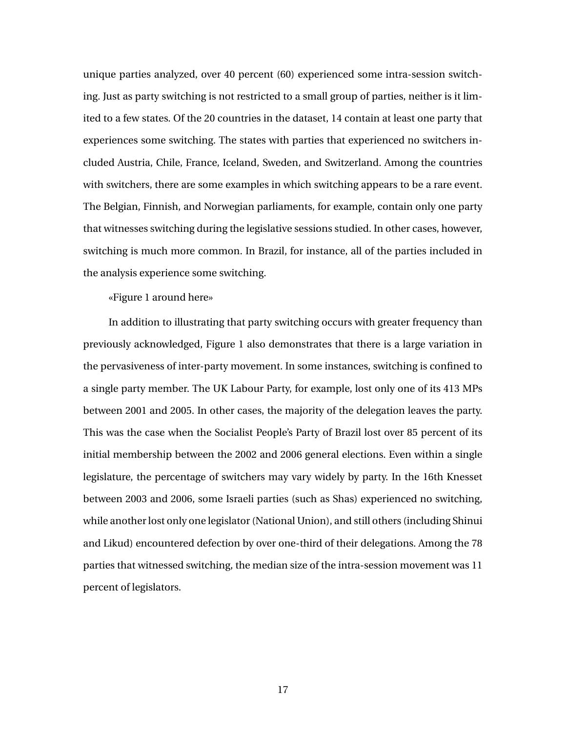unique parties analyzed, over 40 percent (60) experienced some intra-session switching. Just as party switching is not restricted to a small group of parties, neither is it limited to a few states. Of the 20 countries in the dataset, 14 contain at least one party that experiences some switching. The states with parties that experienced no switchers included Austria, Chile, France, Iceland, Sweden, and Switzerland. Among the countries with switchers, there are some examples in which switching appears to be a rare event. The Belgian, Finnish, and Norwegian parliaments, for example, contain only one party that witnesses switching during the legislative sessions studied. In other cases, however, switching is much more common. In Brazil, for instance, all of the parties included in the analysis experience some switching.

«Figure 1 around here»

In addition to illustrating that party switching occurs with greater frequency than previously acknowledged, Figure 1 also demonstrates that there is a large variation in the pervasiveness of inter-party movement. In some instances, switching is confined to a single party member. The UK Labour Party, for example, lost only one of its 413 MPs between 2001 and 2005. In other cases, the majority of the delegation leaves the party. This was the case when the Socialist People's Party of Brazil lost over 85 percent of its initial membership between the 2002 and 2006 general elections. Even within a single legislature, the percentage of switchers may vary widely by party. In the 16th Knesset between 2003 and 2006, some Israeli parties (such as Shas) experienced no switching, while another lost only one legislator (National Union), and still others (including Shinui and Likud) encountered defection by over one-third of their delegations. Among the 78 parties that witnessed switching, the median size of the intra-session movement was 11 percent of legislators.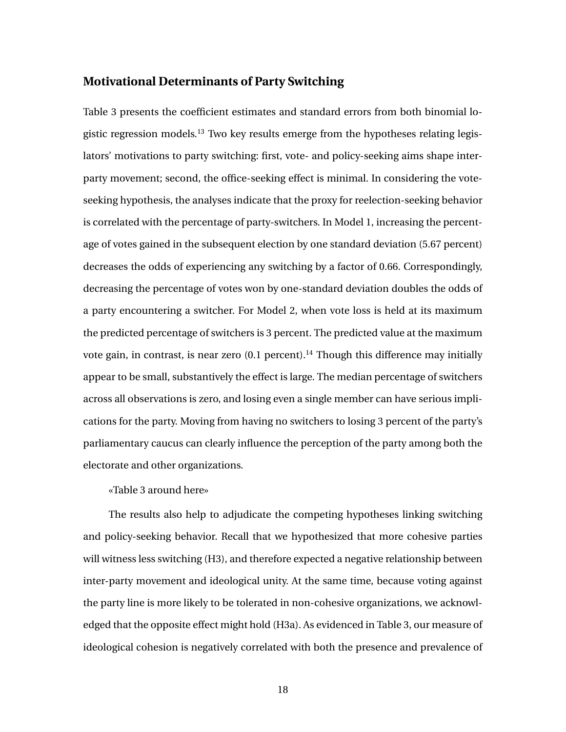### **Motivational Determinants of Party Switching**

Table 3 presents the coefficient estimates and standard errors from both binomial logistic regression models.<sup>13</sup> Two key results emerge from the hypotheses relating legislators' motivations to party switching: first, vote- and policy-seeking aims shape interparty movement; second, the office-seeking effect is minimal. In considering the voteseeking hypothesis, the analyses indicate that the proxy for reelection-seeking behavior is correlated with the percentage of party-switchers. In Model 1, increasing the percentage of votes gained in the subsequent election by one standard deviation (5.67 percent) decreases the odds of experiencing any switching by a factor of 0.66. Correspondingly, decreasing the percentage of votes won by one-standard deviation doubles the odds of a party encountering a switcher. For Model 2, when vote loss is held at its maximum the predicted percentage of switchers is 3 percent. The predicted value at the maximum vote gain, in contrast, is near zero (0.1 percent).<sup>14</sup> Though this difference may initially appear to be small, substantively the effect is large. The median percentage of switchers across all observations is zero, and losing even a single member can have serious implications for the party. Moving from having no switchers to losing 3 percent of the party's parliamentary caucus can clearly influence the perception of the party among both the electorate and other organizations.

#### «Table 3 around here»

The results also help to adjudicate the competing hypotheses linking switching and policy-seeking behavior. Recall that we hypothesized that more cohesive parties will witness less switching (H3), and therefore expected a negative relationship between inter-party movement and ideological unity. At the same time, because voting against the party line is more likely to be tolerated in non-cohesive organizations, we acknowledged that the opposite effect might hold (H3a). As evidenced in Table 3, our measure of ideological cohesion is negatively correlated with both the presence and prevalence of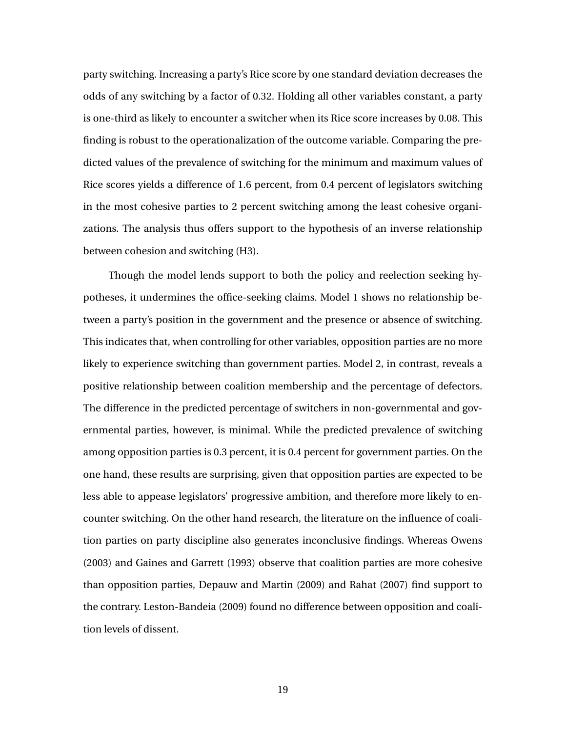party switching. Increasing a party's Rice score by one standard deviation decreases the odds of any switching by a factor of 0.32. Holding all other variables constant, a party is one-third as likely to encounter a switcher when its Rice score increases by 0.08. This finding is robust to the operationalization of the outcome variable. Comparing the predicted values of the prevalence of switching for the minimum and maximum values of Rice scores yields a difference of 1.6 percent, from 0.4 percent of legislators switching in the most cohesive parties to 2 percent switching among the least cohesive organizations. The analysis thus offers support to the hypothesis of an inverse relationship between cohesion and switching (H3).

Though the model lends support to both the policy and reelection seeking hypotheses, it undermines the office-seeking claims. Model 1 shows no relationship between a party's position in the government and the presence or absence of switching. This indicates that, when controlling for other variables, opposition parties are no more likely to experience switching than government parties. Model 2, in contrast, reveals a positive relationship between coalition membership and the percentage of defectors. The difference in the predicted percentage of switchers in non-governmental and governmental parties, however, is minimal. While the predicted prevalence of switching among opposition parties is 0.3 percent, it is 0.4 percent for government parties. On the one hand, these results are surprising, given that opposition parties are expected to be less able to appease legislators' progressive ambition, and therefore more likely to encounter switching. On the other hand research, the literature on the influence of coalition parties on party discipline also generates inconclusive findings. Whereas Owens (2003) and Gaines and Garrett (1993) observe that coalition parties are more cohesive than opposition parties, Depauw and Martin (2009) and Rahat (2007) find support to the contrary. Leston-Bandeia (2009) found no difference between opposition and coalition levels of dissent.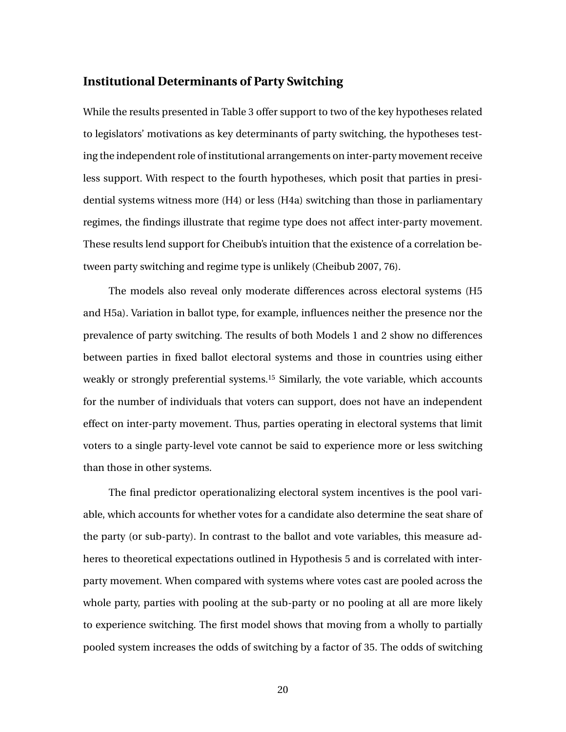#### **Institutional Determinants of Party Switching**

While the results presented in Table 3 offer support to two of the key hypotheses related to legislators' motivations as key determinants of party switching, the hypotheses testing the independent role of institutional arrangements on inter-party movement receive less support. With respect to the fourth hypotheses, which posit that parties in presidential systems witness more (H4) or less (H4a) switching than those in parliamentary regimes, the findings illustrate that regime type does not affect inter-party movement. These results lend support for Cheibub's intuition that the existence of a correlation between party switching and regime type is unlikely (Cheibub 2007, 76).

The models also reveal only moderate differences across electoral systems (H5 and H5a). Variation in ballot type, for example, influences neither the presence nor the prevalence of party switching. The results of both Models 1 and 2 show no differences between parties in fixed ballot electoral systems and those in countries using either weakly or strongly preferential systems.<sup>15</sup> Similarly, the vote variable, which accounts for the number of individuals that voters can support, does not have an independent effect on inter-party movement. Thus, parties operating in electoral systems that limit voters to a single party-level vote cannot be said to experience more or less switching than those in other systems.

The final predictor operationalizing electoral system incentives is the pool variable, which accounts for whether votes for a candidate also determine the seat share of the party (or sub-party). In contrast to the ballot and vote variables, this measure adheres to theoretical expectations outlined in Hypothesis 5 and is correlated with interparty movement. When compared with systems where votes cast are pooled across the whole party, parties with pooling at the sub-party or no pooling at all are more likely to experience switching. The first model shows that moving from a wholly to partially pooled system increases the odds of switching by a factor of 35. The odds of switching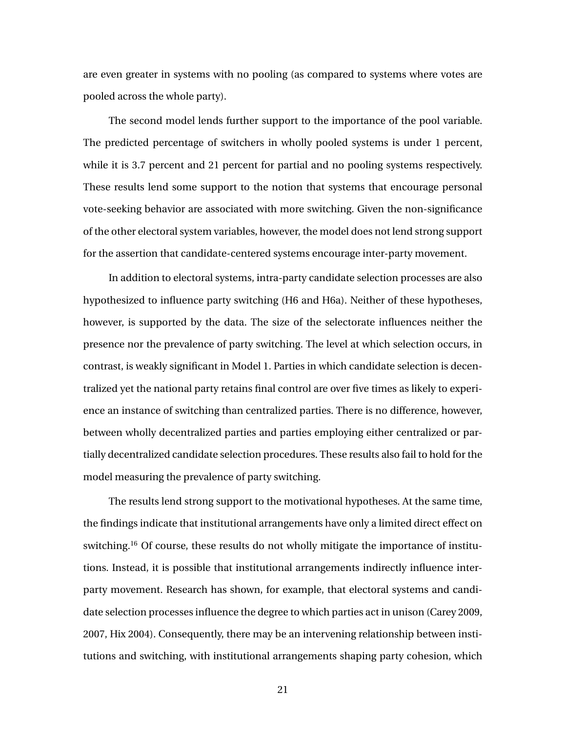are even greater in systems with no pooling (as compared to systems where votes are pooled across the whole party).

The second model lends further support to the importance of the pool variable. The predicted percentage of switchers in wholly pooled systems is under 1 percent, while it is 3.7 percent and 21 percent for partial and no pooling systems respectively. These results lend some support to the notion that systems that encourage personal vote-seeking behavior are associated with more switching. Given the non-significance of the other electoral system variables, however, the model does not lend strong support for the assertion that candidate-centered systems encourage inter-party movement.

In addition to electoral systems, intra-party candidate selection processes are also hypothesized to influence party switching (H6 and H6a). Neither of these hypotheses, however, is supported by the data. The size of the selectorate influences neither the presence nor the prevalence of party switching. The level at which selection occurs, in contrast, is weakly significant in Model 1. Parties in which candidate selection is decentralized yet the national party retains final control are over five times as likely to experience an instance of switching than centralized parties. There is no difference, however, between wholly decentralized parties and parties employing either centralized or partially decentralized candidate selection procedures. These results also fail to hold for the model measuring the prevalence of party switching.

The results lend strong support to the motivational hypotheses. At the same time, the findings indicate that institutional arrangements have only a limited direct effect on switching.<sup>16</sup> Of course, these results do not wholly mitigate the importance of institutions. Instead, it is possible that institutional arrangements indirectly influence interparty movement. Research has shown, for example, that electoral systems and candidate selection processes influence the degree to which parties act in unison (Carey 2009, 2007, Hix 2004). Consequently, there may be an intervening relationship between institutions and switching, with institutional arrangements shaping party cohesion, which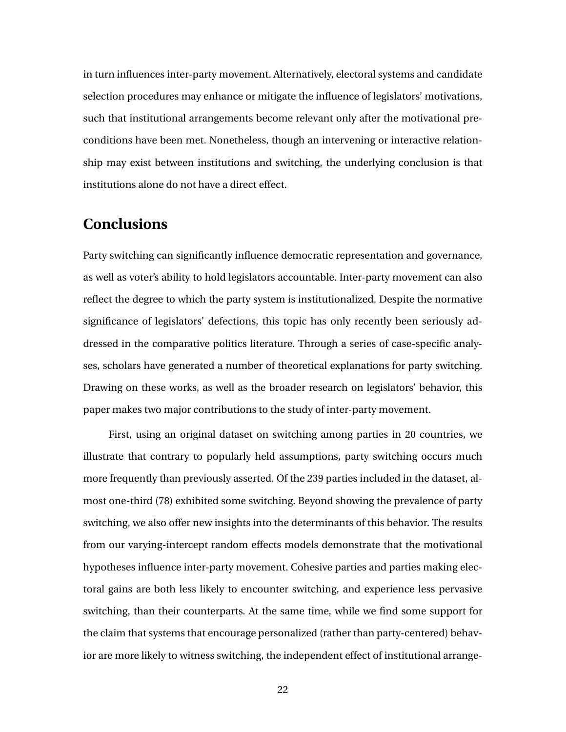in turn influences inter-party movement. Alternatively, electoral systems and candidate selection procedures may enhance or mitigate the influence of legislators' motivations, such that institutional arrangements become relevant only after the motivational preconditions have been met. Nonetheless, though an intervening or interactive relationship may exist between institutions and switching, the underlying conclusion is that institutions alone do not have a direct effect.

### **Conclusions**

Party switching can significantly influence democratic representation and governance, as well as voter's ability to hold legislators accountable. Inter-party movement can also reflect the degree to which the party system is institutionalized. Despite the normative significance of legislators' defections, this topic has only recently been seriously addressed in the comparative politics literature. Through a series of case-specific analyses, scholars have generated a number of theoretical explanations for party switching. Drawing on these works, as well as the broader research on legislators' behavior, this paper makes two major contributions to the study of inter-party movement.

First, using an original dataset on switching among parties in 20 countries, we illustrate that contrary to popularly held assumptions, party switching occurs much more frequently than previously asserted. Of the 239 parties included in the dataset, almost one-third (78) exhibited some switching. Beyond showing the prevalence of party switching, we also offer new insights into the determinants of this behavior. The results from our varying-intercept random effects models demonstrate that the motivational hypotheses influence inter-party movement. Cohesive parties and parties making electoral gains are both less likely to encounter switching, and experience less pervasive switching, than their counterparts. At the same time, while we find some support for the claim that systems that encourage personalized (rather than party-centered) behavior are more likely to witness switching, the independent effect of institutional arrange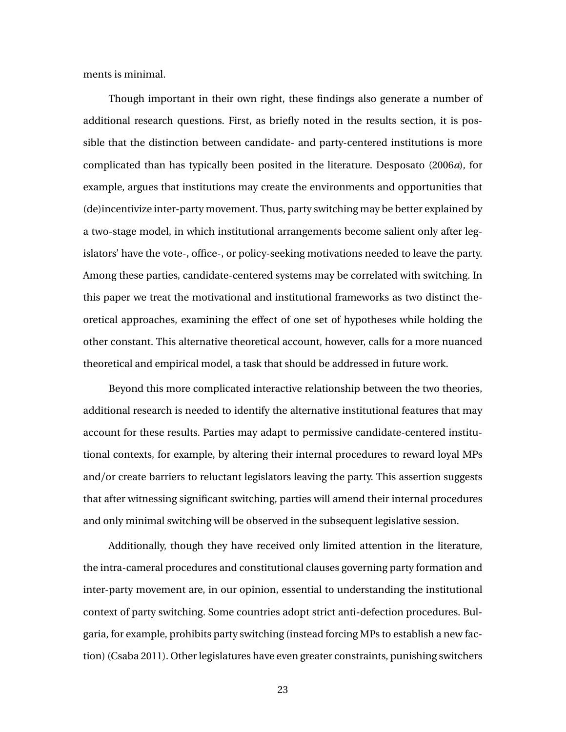ments is minimal.

Though important in their own right, these findings also generate a number of additional research questions. First, as briefly noted in the results section, it is possible that the distinction between candidate- and party-centered institutions is more complicated than has typically been posited in the literature. Desposato (2006*a*), for example, argues that institutions may create the environments and opportunities that (de)incentivize inter-party movement. Thus, party switching may be better explained by a two-stage model, in which institutional arrangements become salient only after legislators' have the vote-, office-, or policy-seeking motivations needed to leave the party. Among these parties, candidate-centered systems may be correlated with switching. In this paper we treat the motivational and institutional frameworks as two distinct theoretical approaches, examining the effect of one set of hypotheses while holding the other constant. This alternative theoretical account, however, calls for a more nuanced theoretical and empirical model, a task that should be addressed in future work.

Beyond this more complicated interactive relationship between the two theories, additional research is needed to identify the alternative institutional features that may account for these results. Parties may adapt to permissive candidate-centered institutional contexts, for example, by altering their internal procedures to reward loyal MPs and/or create barriers to reluctant legislators leaving the party. This assertion suggests that after witnessing significant switching, parties will amend their internal procedures and only minimal switching will be observed in the subsequent legislative session.

Additionally, though they have received only limited attention in the literature, the intra-cameral procedures and constitutional clauses governing party formation and inter-party movement are, in our opinion, essential to understanding the institutional context of party switching. Some countries adopt strict anti-defection procedures. Bulgaria, for example, prohibits party switching (instead forcing MPs to establish a new faction) (Csaba 2011). Other legislatures have even greater constraints, punishing switchers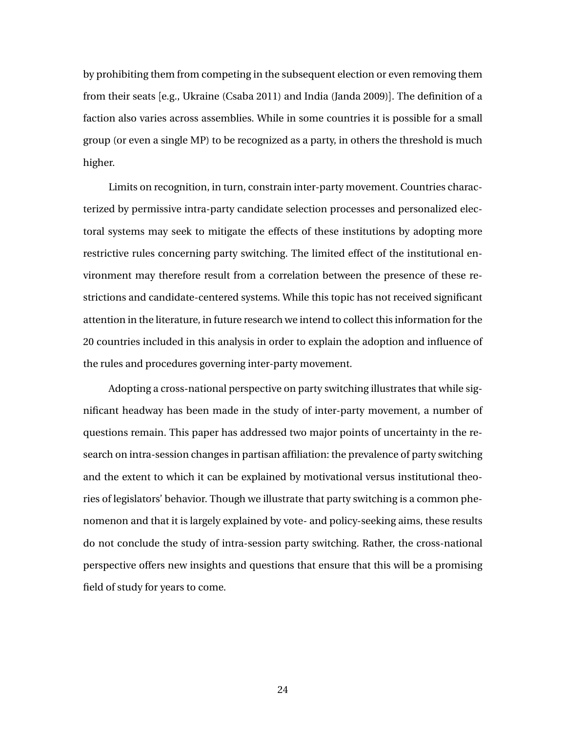by prohibiting them from competing in the subsequent election or even removing them from their seats [e.g., Ukraine (Csaba 2011) and India (Janda 2009)]. The definition of a faction also varies across assemblies. While in some countries it is possible for a small group (or even a single MP) to be recognized as a party, in others the threshold is much higher.

Limits on recognition, in turn, constrain inter-party movement. Countries characterized by permissive intra-party candidate selection processes and personalized electoral systems may seek to mitigate the effects of these institutions by adopting more restrictive rules concerning party switching. The limited effect of the institutional environment may therefore result from a correlation between the presence of these restrictions and candidate-centered systems. While this topic has not received significant attention in the literature, in future research we intend to collect this information for the 20 countries included in this analysis in order to explain the adoption and influence of the rules and procedures governing inter-party movement.

Adopting a cross-national perspective on party switching illustrates that while significant headway has been made in the study of inter-party movement, a number of questions remain. This paper has addressed two major points of uncertainty in the research on intra-session changes in partisan affiliation: the prevalence of party switching and the extent to which it can be explained by motivational versus institutional theories of legislators' behavior. Though we illustrate that party switching is a common phenomenon and that it is largely explained by vote- and policy-seeking aims, these results do not conclude the study of intra-session party switching. Rather, the cross-national perspective offers new insights and questions that ensure that this will be a promising field of study for years to come.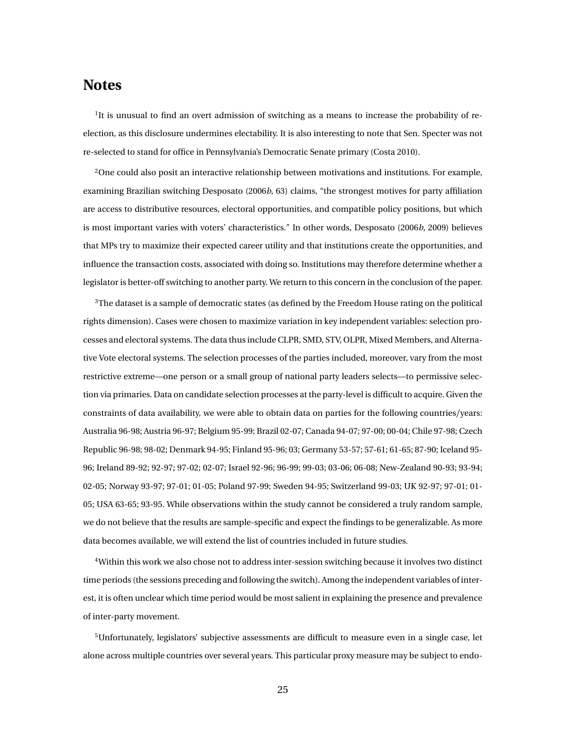### **Notes**

<sup>1</sup>It is unusual to find an overt admission of switching as a means to increase the probability of reelection, as this disclosure undermines electability. It is also interesting to note that Sen. Specter was not re-selected to stand for office in Pennsylvania's Democratic Senate primary (Costa 2010).

<sup>2</sup>One could also posit an interactive relationship between motivations and institutions. For example, examining Brazilian switching Desposato (2006*b*, 63) claims, "the strongest motives for party affiliation are access to distributive resources, electoral opportunities, and compatible policy positions, but which is most important varies with voters' characteristics." In other words, Desposato (2006*b*, 2009) believes that MPs try to maximize their expected career utility and that institutions create the opportunities, and influence the transaction costs, associated with doing so. Institutions may therefore determine whether a legislator is better-off switching to another party. We return to this concern in the conclusion of the paper.

<sup>3</sup>The dataset is a sample of democratic states (as defined by the Freedom House rating on the political rights dimension). Cases were chosen to maximize variation in key independent variables: selection processes and electoral systems. The data thus include CLPR, SMD, STV, OLPR, Mixed Members, and Alternative Vote electoral systems. The selection processes of the parties included, moreover, vary from the most restrictive extreme—one person or a small group of national party leaders selects—to permissive selection via primaries. Data on candidate selection processes at the party-level is difficult to acquire. Given the constraints of data availability, we were able to obtain data on parties for the following countries/years: Australia 96-98; Austria 96-97; Belgium 95-99; Brazil 02-07; Canada 94-07; 97-00; 00-04; Chile 97-98; Czech Republic 96-98; 98-02; Denmark 94-95; Finland 95-96; 03; Germany 53-57; 57-61; 61-65; 87-90; Iceland 95- 96; Ireland 89-92; 92-97; 97-02; 02-07; Israel 92-96; 96-99; 99-03; 03-06; 06-08; New-Zealand 90-93; 93-94; 02-05; Norway 93-97; 97-01; 01-05; Poland 97-99; Sweden 94-95; Switzerland 99-03; UK 92-97; 97-01; 01- 05; USA 63-65; 93-95. While observations within the study cannot be considered a truly random sample, we do not believe that the results are sample-specific and expect the findings to be generalizable. As more data becomes available, we will extend the list of countries included in future studies.

<sup>4</sup>Within this work we also chose not to address inter-session switching because it involves two distinct time periods (the sessions preceding and following the switch). Among the independent variables of interest, it is often unclear which time period would be most salient in explaining the presence and prevalence of inter-party movement.

<sup>5</sup>Unfortunately, legislators' subjective assessments are difficult to measure even in a single case, let alone across multiple countries over several years. This particular proxy measure may be subject to endo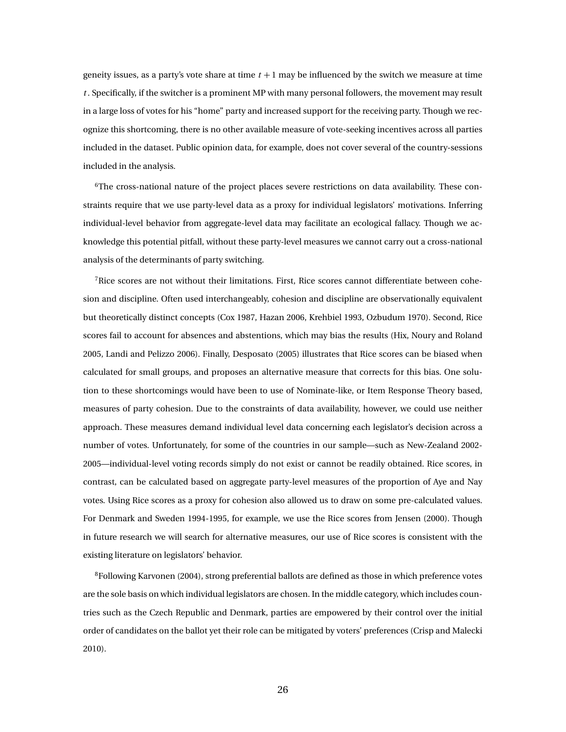geneity issues, as a party's vote share at time  $t + 1$  may be influenced by the switch we measure at time *t* . Specifically, if the switcher is a prominent MP with many personal followers, the movement may result in a large loss of votes for his "home" party and increased support for the receiving party. Though we recognize this shortcoming, there is no other available measure of vote-seeking incentives across all parties included in the dataset. Public opinion data, for example, does not cover several of the country-sessions included in the analysis.

<sup>6</sup>The cross-national nature of the project places severe restrictions on data availability. These constraints require that we use party-level data as a proxy for individual legislators' motivations. Inferring individual-level behavior from aggregate-level data may facilitate an ecological fallacy. Though we acknowledge this potential pitfall, without these party-level measures we cannot carry out a cross-national analysis of the determinants of party switching.

7Rice scores are not without their limitations. First, Rice scores cannot differentiate between cohesion and discipline. Often used interchangeably, cohesion and discipline are observationally equivalent but theoretically distinct concepts (Cox 1987, Hazan 2006, Krehbiel 1993, Ozbudum 1970). Second, Rice scores fail to account for absences and abstentions, which may bias the results (Hix, Noury and Roland 2005, Landi and Pelizzo 2006). Finally, Desposato (2005) illustrates that Rice scores can be biased when calculated for small groups, and proposes an alternative measure that corrects for this bias. One solution to these shortcomings would have been to use of Nominate-like, or Item Response Theory based, measures of party cohesion. Due to the constraints of data availability, however, we could use neither approach. These measures demand individual level data concerning each legislator's decision across a number of votes. Unfortunately, for some of the countries in our sample—such as New-Zealand 2002- 2005—individual-level voting records simply do not exist or cannot be readily obtained. Rice scores, in contrast, can be calculated based on aggregate party-level measures of the proportion of Aye and Nay votes. Using Rice scores as a proxy for cohesion also allowed us to draw on some pre-calculated values. For Denmark and Sweden 1994-1995, for example, we use the Rice scores from Jensen (2000). Though in future research we will search for alternative measures, our use of Rice scores is consistent with the existing literature on legislators' behavior.

<sup>8</sup>Following Karvonen (2004), strong preferential ballots are defined as those in which preference votes are the sole basis on which individual legislators are chosen. In the middle category, which includes countries such as the Czech Republic and Denmark, parties are empowered by their control over the initial order of candidates on the ballot yet their role can be mitigated by voters' preferences (Crisp and Malecki 2010).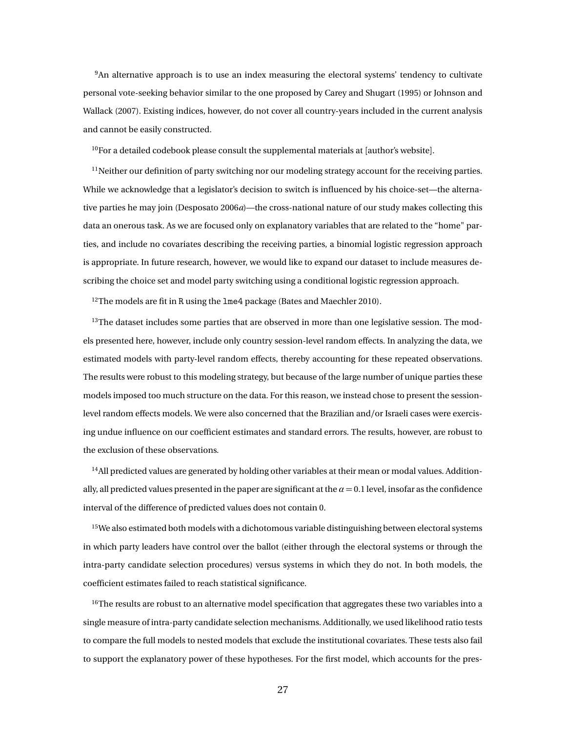<sup>9</sup>An alternative approach is to use an index measuring the electoral systems' tendency to cultivate personal vote-seeking behavior similar to the one proposed by Carey and Shugart (1995) or Johnson and Wallack (2007). Existing indices, however, do not cover all country-years included in the current analysis and cannot be easily constructed.

<sup>10</sup>For a detailed codebook please consult the supplemental materials at [author's website].

 $11$ Neither our definition of party switching nor our modeling strategy account for the receiving parties. While we acknowledge that a legislator's decision to switch is influenced by his choice-set—the alternative parties he may join (Desposato 2006*a*)—the cross-national nature of our study makes collecting this data an onerous task. As we are focused only on explanatory variables that are related to the "home" parties, and include no covariates describing the receiving parties, a binomial logistic regression approach is appropriate. In future research, however, we would like to expand our dataset to include measures describing the choice set and model party switching using a conditional logistic regression approach.

<sup>12</sup>The models are fit in R using the  $l$ me4 package (Bates and Maechler 2010).

 $13$ The dataset includes some parties that are observed in more than one legislative session. The models presented here, however, include only country session-level random effects. In analyzing the data, we estimated models with party-level random effects, thereby accounting for these repeated observations. The results were robust to this modeling strategy, but because of the large number of unique parties these models imposed too much structure on the data. For this reason, we instead chose to present the sessionlevel random effects models. We were also concerned that the Brazilian and/or Israeli cases were exercising undue influence on our coefficient estimates and standard errors. The results, however, are robust to the exclusion of these observations.

<sup>14</sup>All predicted values are generated by holding other variables at their mean or modal values. Additionally, all predicted values presented in the paper are significant at the  $\alpha = 0.1$  level, insofar as the confidence interval of the difference of predicted values does not contain 0.

<sup>15</sup>We also estimated both models with a dichotomous variable distinguishing between electoral systems in which party leaders have control over the ballot (either through the electoral systems or through the intra-party candidate selection procedures) versus systems in which they do not. In both models, the coefficient estimates failed to reach statistical significance.

<sup>16</sup>The results are robust to an alternative model specification that aggregates these two variables into a single measure of intra-party candidate selection mechanisms. Additionally, we used likelihood ratio tests to compare the full models to nested models that exclude the institutional covariates. These tests also fail to support the explanatory power of these hypotheses. For the first model, which accounts for the pres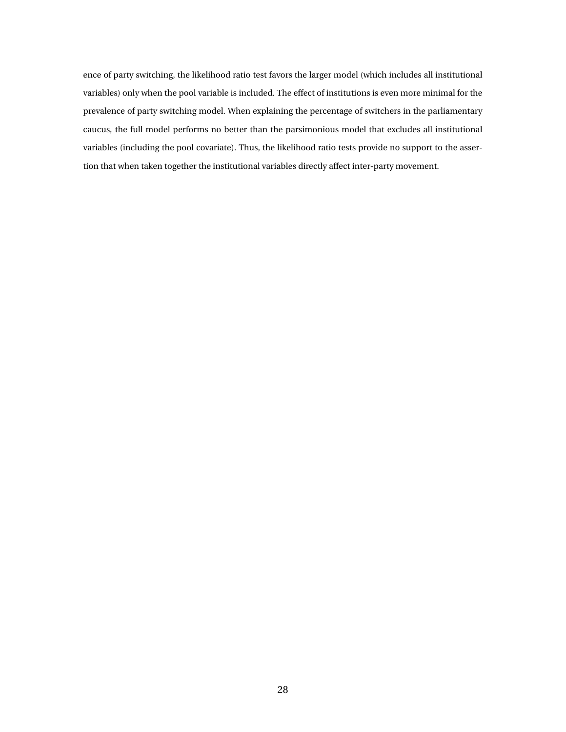ence of party switching, the likelihood ratio test favors the larger model (which includes all institutional variables) only when the pool variable is included. The effect of institutions is even more minimal for the prevalence of party switching model. When explaining the percentage of switchers in the parliamentary caucus, the full model performs no better than the parsimonious model that excludes all institutional variables (including the pool covariate). Thus, the likelihood ratio tests provide no support to the assertion that when taken together the institutional variables directly affect inter-party movement.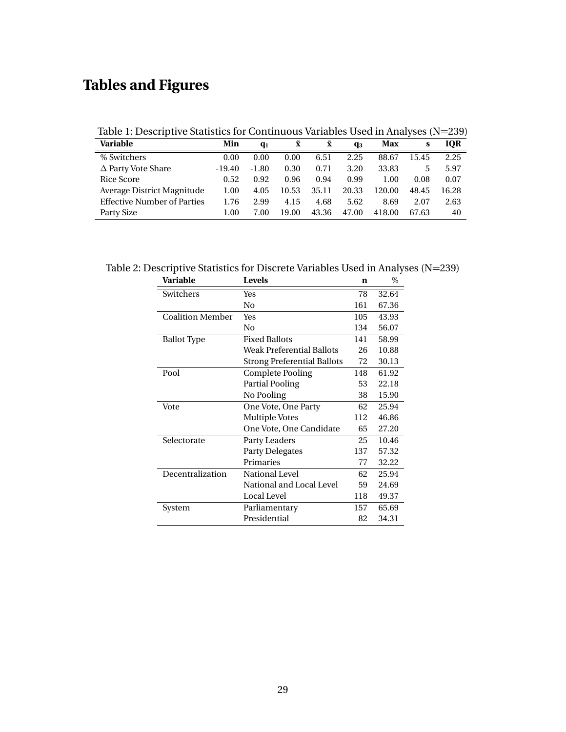# **Tables and Figures**

Table 1: Descriptive Statistics for Continuous Variables Used in Analyses (N=239)

| <b>Variable</b>                    | Min      | $q_1$   | $\bar{\mathbf{x}}$ | Ā     | $q_3$ | Max    | s     | <b>IOR</b> |
|------------------------------------|----------|---------|--------------------|-------|-------|--------|-------|------------|
| % Switchers                        | 0.00     | 0.00    | 0.00               | 6.51  | 2.25  | 88.67  | 15.45 | 2.25       |
| $\Delta$ Party Vote Share          | $-19.40$ | $-1.80$ | 0.30               | 0.71  | 3.20  | 33.83  | 5     | 5.97       |
| <b>Rice Score</b>                  | 0.52     | 0.92    | 0.96               | 0.94  | 0.99  | 1.00   | 0.08  | 0.07       |
| Average District Magnitude         | 1.00     | 4.05    | 10.53              | 35.11 | 20.33 | 120.00 | 48.45 | 16.28      |
| <b>Effective Number of Parties</b> | 1.76     | 2.99    | 4.15               | 4.68  | 5.62  | 8.69   | 2.07  | 2.63       |
| Party Size                         | 1.00     | 7.00    | 19.00              | 43.36 | 47.00 | 418.00 | 67.63 | 40         |
|                                    |          |         |                    |       |       |        |       |            |

Table 2: Descriptive Statistics for Discrete Variables Used in Analyses (N=239)

| Variable                | <b>Levels</b>                      | $\mathbf n$ | %     |
|-------------------------|------------------------------------|-------------|-------|
| Switchers               | Yes                                | 78          | 32.64 |
|                         | No                                 | 161         | 67.36 |
| <b>Coalition Member</b> | Yes                                | 105         | 43.93 |
|                         | N <sub>0</sub>                     | 134         | 56.07 |
| <b>Ballot</b> Type      | <b>Fixed Ballots</b>               | 141         | 58.99 |
|                         | Weak Preferential Ballots          | 26          | 10.88 |
|                         | <b>Strong Preferential Ballots</b> | 72          | 30.13 |
| Pool                    | <b>Complete Pooling</b>            | 148         | 61.92 |
|                         | Partial Pooling                    | 53          | 22.18 |
|                         | No Pooling                         | 38          | 15.90 |
| Vote                    | One Vote, One Party                | 62          | 25.94 |
|                         | Multiple Votes                     | 112         | 46.86 |
|                         | One Vote, One Candidate            | 65          | 27.20 |
| Selectorate             | Party Leaders                      | 25          | 10.46 |
|                         | <b>Party Delegates</b>             | 137         | 57.32 |
|                         | Primaries                          | 77          | 32.22 |
| Decentralization        | <b>National Level</b>              | 62          | 25.94 |
|                         | National and Local Level           | 59          | 24.69 |
|                         | <b>Local Level</b>                 | 118         | 49.37 |
| System                  | Parliamentary                      | 157         | 65.69 |
|                         | Presidential                       | 82          | 34.31 |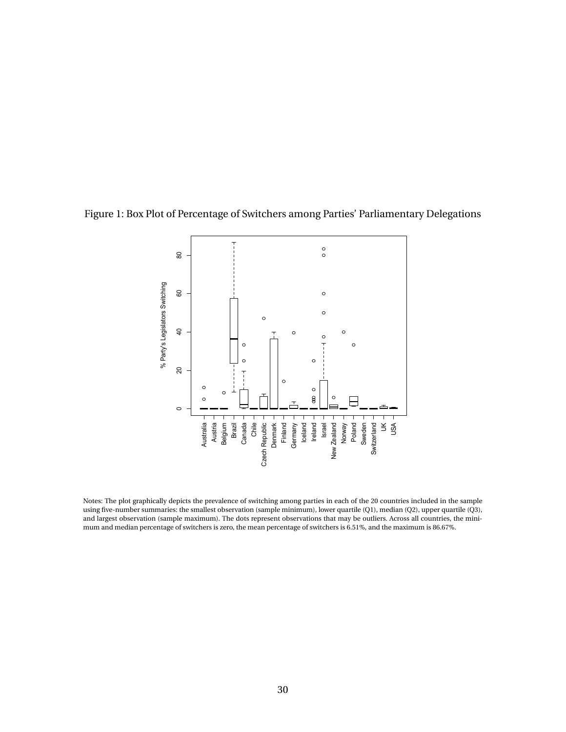

Figure 1: Box Plot of Percentage of Switchers among Parties' Parliamentary Delegations

Notes: The plot graphically depicts the prevalence of switching among parties in each of the 20 countries included in the sample using five-number summaries: the smallest observation (sample minimum), lower quartile (Q1), median (Q2), upper quartile (Q3), and largest observation (sample maximum). The dots represent observations that may be outliers. Across all countries, the minimum and median percentage of switchers is zero, the mean percentage of switchers is 6.51%, and the maximum is 86.67%.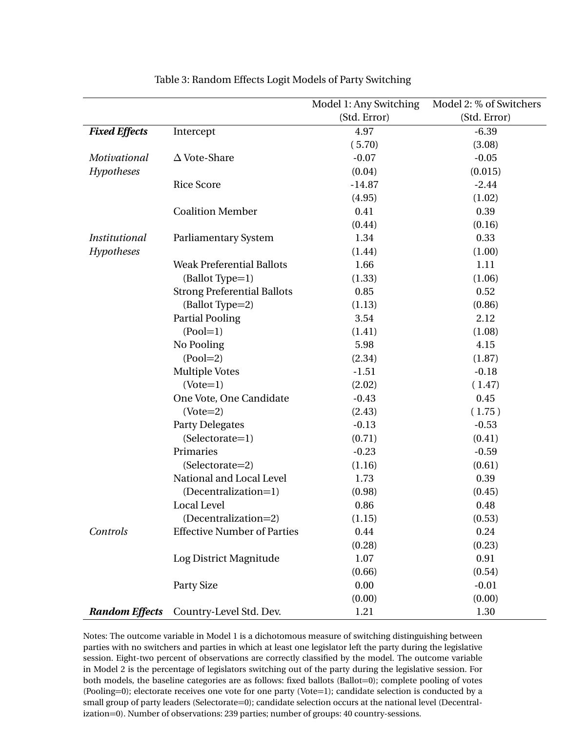|                       |                                    | Model 1: Any Switching | Model 2: % of Switchers |
|-----------------------|------------------------------------|------------------------|-------------------------|
|                       |                                    | (Std. Error)           | (Std. Error)            |
| <b>Fixed Effects</b>  | Intercept                          | 4.97                   | $-6.39$                 |
|                       |                                    | (5.70)                 | (3.08)                  |
| Motivational          | $\Delta$ Vote-Share                | $-0.07$                | $-0.05$                 |
| Hypotheses            |                                    | (0.04)                 | (0.015)                 |
|                       | <b>Rice Score</b>                  | $-14.87$               | $-2.44$                 |
|                       |                                    | (4.95)                 | (1.02)                  |
|                       | <b>Coalition Member</b>            | 0.41                   | 0.39                    |
|                       |                                    | (0.44)                 | (0.16)                  |
| <i>Institutional</i>  | <b>Parliamentary System</b>        | 1.34                   | 0.33                    |
| Hypotheses            |                                    | (1.44)                 | (1.00)                  |
|                       | <b>Weak Preferential Ballots</b>   | 1.66                   | 1.11                    |
|                       | (Ballot Type=1)                    | (1.33)                 | (1.06)                  |
|                       | <b>Strong Preferential Ballots</b> | 0.85                   | 0.52                    |
|                       | (Ballot Type=2)                    | (1.13)                 | (0.86)                  |
|                       | <b>Partial Pooling</b>             | 3.54                   | 2.12                    |
|                       | $(Pool=1)$                         | (1.41)                 | (1.08)                  |
|                       | No Pooling                         | 5.98                   | 4.15                    |
|                       | $(Pool=2)$                         | (2.34)                 | (1.87)                  |
|                       | <b>Multiple Votes</b>              | $-1.51$                | $-0.18$                 |
|                       | $(Vote=1)$                         | (2.02)                 | (1.47)                  |
|                       | One Vote, One Candidate            | $-0.43$                | 0.45                    |
|                       | $( Vote = 2)$                      | (2.43)                 | (1.75)                  |
|                       | <b>Party Delegates</b>             | $-0.13$                | $-0.53$                 |
|                       | (Selectorate=1)                    | (0.71)                 | (0.41)                  |
|                       | Primaries                          | $-0.23$                | $-0.59$                 |
|                       | (Selectorate=2)                    | (1.16)                 | (0.61)                  |
|                       | National and Local Level           | 1.73                   | 0.39                    |
|                       | (Decentralization=1)               | (0.98)                 | (0.45)                  |
|                       | Local Level                        | 0.86                   | 0.48                    |
|                       | (Decentralization=2)               | (1.15)                 | (0.53)                  |
| Controls              | <b>Effective Number of Parties</b> | 0.44                   | 0.24                    |
|                       |                                    | (0.28)                 | (0.23)                  |
|                       | Log District Magnitude             | 1.07                   | 0.91                    |
|                       |                                    | (0.66)                 | (0.54)                  |
|                       | Party Size                         | 0.00                   | $-0.01$                 |
|                       |                                    | (0.00)                 | (0.00)                  |
| <b>Random Effects</b> | Country-Level Std. Dev.            | 1.21                   | 1.30                    |

Table 3: Random Effects Logit Models of Party Switching

Notes: The outcome variable in Model 1 is a dichotomous measure of switching distinguishing between parties with no switchers and parties in which at least one legislator left the party during the legislative session. Eight-two percent of observations are correctly classified by the model. The outcome variable in Model 2 is the percentage of legislators switching out of the party during the legislative session. For both models, the baseline categories are as follows: fixed ballots (Ballot=0); complete pooling of votes (Pooling=0); electorate receives one vote for one party (Vote=1); candidate selection is conducted by a small group of party leaders (Selectorate=0); candidate selection occurs at the national level (Decentralization=0). Number of observations: 239 parties; number of groups: 40 country-sessions.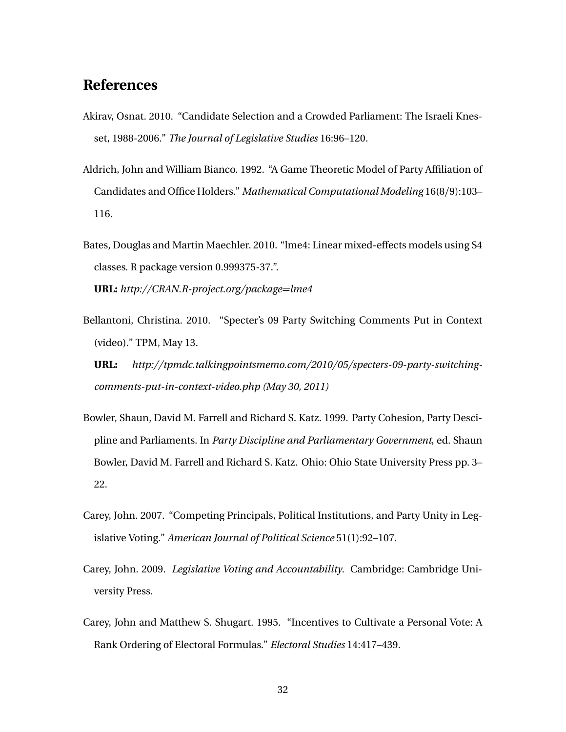## **References**

- Akirav, Osnat. 2010. "Candidate Selection and a Crowded Parliament: The Israeli Knesset, 1988-2006." *The Journal of Legislative Studies* 16:96–120.
- Aldrich, John and William Bianco. 1992. "A Game Theoretic Model of Party Affiliation of Candidates and Office Holders." *Mathematical Computational Modeling* 16(8/9):103– 116.
- Bates, Douglas and Martin Maechler. 2010. "lme4: Linear mixed-effects models using S4 classes. R package version 0.999375-37.".

**URL:** *http://CRAN.R-project.org/package=lme4*

- Bellantoni, Christina. 2010. "Specter's 09 Party Switching Comments Put in Context (video)." TPM, May 13.
	- **URL:** *http://tpmdc.talkingpointsmemo.com/2010/05/specters-09-party-switchingcomments-put-in-context-video.php (May 30, 2011)*
- Bowler, Shaun, David M. Farrell and Richard S. Katz. 1999. Party Cohesion, Party Descipline and Parliaments. In *Party Discipline and Parliamentary Government*, ed. Shaun Bowler, David M. Farrell and Richard S. Katz. Ohio: Ohio State University Press pp. 3– 22.
- Carey, John. 2007. "Competing Principals, Political Institutions, and Party Unity in Legislative Voting." *American Journal of Political Science* 51(1):92–107.
- Carey, John. 2009. *Legislative Voting and Accountability*. Cambridge: Cambridge University Press.
- Carey, John and Matthew S. Shugart. 1995. "Incentives to Cultivate a Personal Vote: A Rank Ordering of Electoral Formulas." *Electoral Studies* 14:417–439.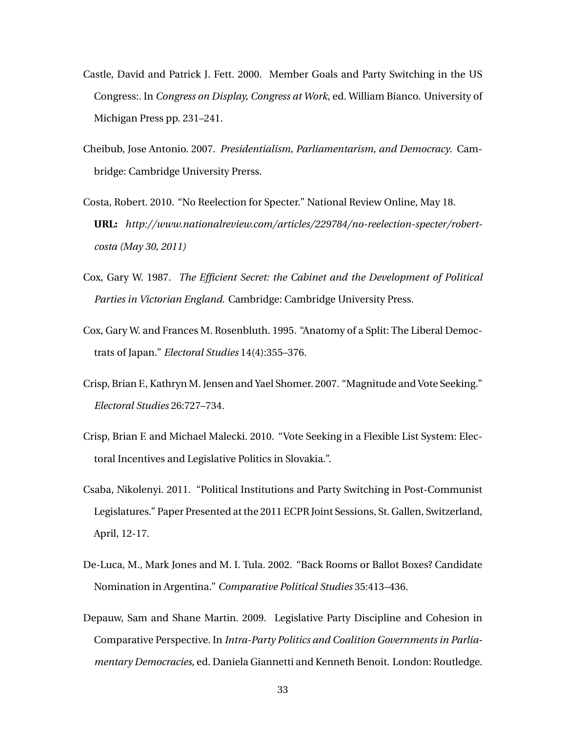- Castle, David and Patrick J. Fett. 2000. Member Goals and Party Switching in the US Congress:. In *Congress on Display, Congress at Work*, ed. William Bianco. University of Michigan Press pp. 231–241.
- Cheibub, Jose Antonio. 2007. *Presidentialism, Parliamentarism, and Democracy*. Cambridge: Cambridge University Prerss.
- Costa, Robert. 2010. "No Reelection for Specter." National Review Online, May 18. **URL:** *http://www.nationalreview.com/articles/229784/no-reelection-specter/robertcosta (May 30, 2011)*
- Cox, Gary W. 1987. *The Efficient Secret: the Cabinet and the Development of Political Parties in Victorian England*. Cambridge: Cambridge University Press.
- Cox, Gary W. and Frances M. Rosenbluth. 1995. "Anatomy of a Split: The Liberal Democtrats of Japan." *Electoral Studies* 14(4):355–376.
- Crisp, Brian F., Kathryn M. Jensen and Yael Shomer. 2007. "Magnitude and Vote Seeking." *Electoral Studies* 26:727–734.
- Crisp, Brian F. and Michael Malecki. 2010. "Vote Seeking in a Flexible List System: Electoral Incentives and Legislative Politics in Slovakia.".
- Csaba, Nikolenyi. 2011. "Political Institutions and Party Switching in Post-Communist Legislatures." Paper Presented at the 2011 ECPR Joint Sessions, St. Gallen, Switzerland, April, 12-17.
- De-Luca, M., Mark Jones and M. I. Tula. 2002. "Back Rooms or Ballot Boxes? Candidate Nomination in Argentina." *Comparative Political Studies* 35:413–436.
- Depauw, Sam and Shane Martin. 2009. Legislative Party Discipline and Cohesion in Comparative Perspective. In *Intra-Party Politics and Coalition Governments in Parliamentary Democracies*, ed. Daniela Giannetti and Kenneth Benoit. London: Routledge.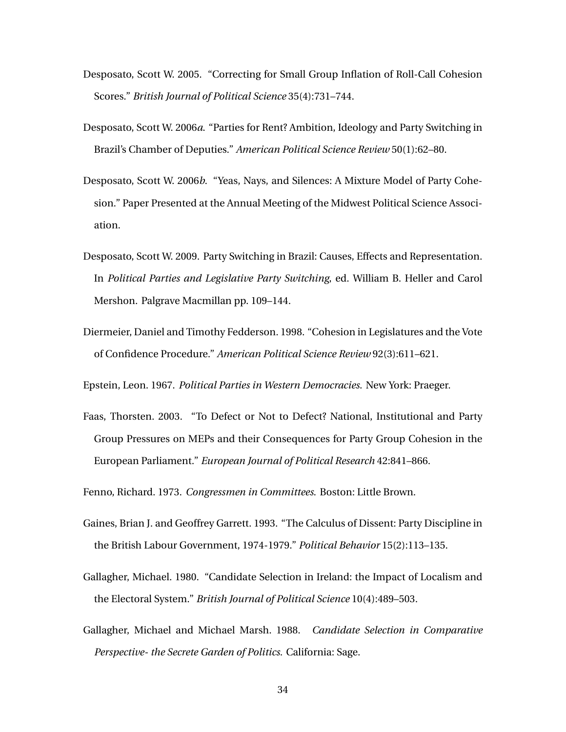- Desposato, Scott W. 2005. "Correcting for Small Group Inflation of Roll-Call Cohesion Scores." *British Journal of Political Science* 35(4):731–744.
- Desposato, Scott W. 2006*a*. "Parties for Rent? Ambition, Ideology and Party Switching in Brazil's Chamber of Deputies." *American Political Science Review* 50(1):62–80.
- Desposato, Scott W. 2006*b*. "Yeas, Nays, and Silences: A Mixture Model of Party Cohesion." Paper Presented at the Annual Meeting of the Midwest Political Science Association.
- Desposato, Scott W. 2009. Party Switching in Brazil: Causes, Effects and Representation. In *Political Parties and Legislative Party Switching*, ed. William B. Heller and Carol Mershon. Palgrave Macmillan pp. 109–144.
- Diermeier, Daniel and Timothy Fedderson. 1998. "Cohesion in Legislatures and the Vote of Confidence Procedure." *American Political Science Review* 92(3):611–621.

Epstein, Leon. 1967. *Political Parties in Western Democracies*. New York: Praeger.

Faas, Thorsten. 2003. "To Defect or Not to Defect? National, Institutional and Party Group Pressures on MEPs and their Consequences for Party Group Cohesion in the European Parliament." *European Journal of Political Research* 42:841–866.

Fenno, Richard. 1973. *Congressmen in Committees*. Boston: Little Brown.

- Gaines, Brian J. and Geoffrey Garrett. 1993. "The Calculus of Dissent: Party Discipline in the British Labour Government, 1974-1979." *Political Behavior* 15(2):113–135.
- Gallagher, Michael. 1980. "Candidate Selection in Ireland: the Impact of Localism and the Electoral System." *British Journal of Political Science* 10(4):489–503.
- Gallagher, Michael and Michael Marsh. 1988. *Candidate Selection in Comparative Perspective- the Secrete Garden of Politics*. California: Sage.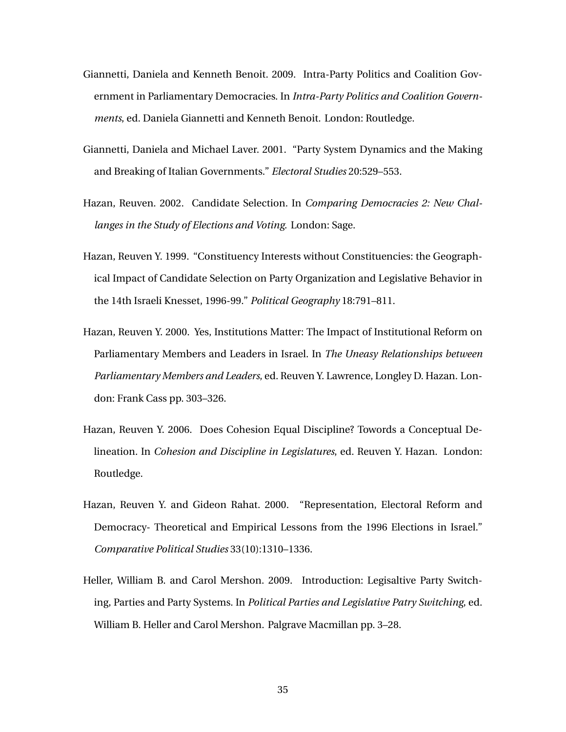- Giannetti, Daniela and Kenneth Benoit. 2009. Intra-Party Politics and Coalition Government in Parliamentary Democracies. In *Intra-Party Politics and Coalition Governments*, ed. Daniela Giannetti and Kenneth Benoit. London: Routledge.
- Giannetti, Daniela and Michael Laver. 2001. "Party System Dynamics and the Making and Breaking of Italian Governments." *Electoral Studies* 20:529–553.
- Hazan, Reuven. 2002. Candidate Selection. In *Comparing Democracies 2: New Challanges in the Study of Elections and Voting*. London: Sage.
- Hazan, Reuven Y. 1999. "Constituency Interests without Constituencies: the Geographical Impact of Candidate Selection on Party Organization and Legislative Behavior in the 14th Israeli Knesset, 1996-99." *Political Geography* 18:791–811.
- Hazan, Reuven Y. 2000. Yes, Institutions Matter: The Impact of Institutional Reform on Parliamentary Members and Leaders in Israel. In *The Uneasy Relationships between Parliamentary Members and Leaders*, ed. Reuven Y. Lawrence, Longley D. Hazan. London: Frank Cass pp. 303–326.
- Hazan, Reuven Y. 2006. Does Cohesion Equal Discipline? Towords a Conceptual Delineation. In *Cohesion and Discipline in Legislatures*, ed. Reuven Y. Hazan. London: Routledge.
- Hazan, Reuven Y. and Gideon Rahat. 2000. "Representation, Electoral Reform and Democracy- Theoretical and Empirical Lessons from the 1996 Elections in Israel." *Comparative Political Studies* 33(10):1310–1336.
- Heller, William B. and Carol Mershon. 2009. Introduction: Legisaltive Party Switching, Parties and Party Systems. In *Political Parties and Legislative Patry Switching*, ed. William B. Heller and Carol Mershon. Palgrave Macmillan pp. 3–28.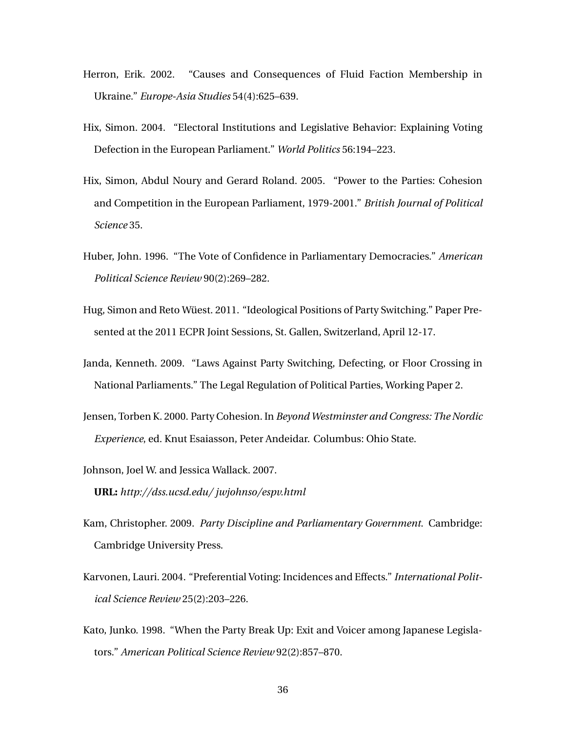- Herron, Erik. 2002. "Causes and Consequences of Fluid Faction Membership in Ukraine." *Europe-Asia Studies* 54(4):625–639.
- Hix, Simon. 2004. "Electoral Institutions and Legislative Behavior: Explaining Voting Defection in the European Parliament." *World Politics* 56:194–223.
- Hix, Simon, Abdul Noury and Gerard Roland. 2005. "Power to the Parties: Cohesion and Competition in the European Parliament, 1979-2001." *British Journal of Political Science* 35.
- Huber, John. 1996. "The Vote of Confidence in Parliamentary Democracies." *American Political Science Review* 90(2):269–282.
- Hug, Simon and Reto Wüest. 2011. "Ideological Positions of Party Switching." Paper Presented at the 2011 ECPR Joint Sessions, St. Gallen, Switzerland, April 12-17.
- Janda, Kenneth. 2009. "Laws Against Party Switching, Defecting, or Floor Crossing in National Parliaments." The Legal Regulation of Political Parties, Working Paper 2.
- Jensen, Torben K. 2000. Party Cohesion. In *Beyond Westminster and Congress: The Nordic Experience*, ed. Knut Esaiasson, Peter Andeidar. Columbus: Ohio State.
- Johnson, Joel W. and Jessica Wallack. 2007.

**URL:** *http://dss.ucsd.edu/ jwjohnso/espv.html*

- Kam, Christopher. 2009. *Party Discipline and Parliamentary Government*. Cambridge: Cambridge University Press.
- Karvonen, Lauri. 2004. "Preferential Voting: Incidences and Effects." *International Political Science Review* 25(2):203–226.
- Kato, Junko. 1998. "When the Party Break Up: Exit and Voicer among Japanese Legislators." *American Political Science Review* 92(2):857–870.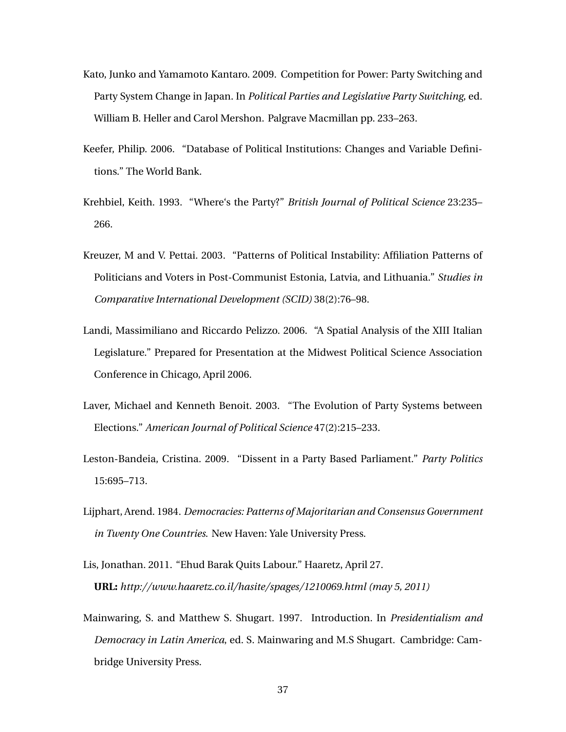- Kato, Junko and Yamamoto Kantaro. 2009. Competition for Power: Party Switching and Party System Change in Japan. In *Political Parties and Legislative Party Switching*, ed. William B. Heller and Carol Mershon. Palgrave Macmillan pp. 233–263.
- Keefer, Philip. 2006. "Database of Political Institutions: Changes and Variable Definitions." The World Bank.
- Krehbiel, Keith. 1993. "Where's the Party?" *British Journal of Political Science* 23:235– 266.
- Kreuzer, M and V. Pettai. 2003. "Patterns of Political Instability: Affiliation Patterns of Politicians and Voters in Post-Communist Estonia, Latvia, and Lithuania." *Studies in Comparative International Development (SCID)* 38(2):76–98.
- Landi, Massimiliano and Riccardo Pelizzo. 2006. "A Spatial Analysis of the XIII Italian Legislature." Prepared for Presentation at the Midwest Political Science Association Conference in Chicago, April 2006.
- Laver, Michael and Kenneth Benoit. 2003. "The Evolution of Party Systems between Elections." *American Journal of Political Science* 47(2):215–233.
- Leston-Bandeia, Cristina. 2009. "Dissent in a Party Based Parliament." *Party Politics* 15:695–713.
- Lijphart, Arend. 1984. *Democracies: Patterns of Majoritarian and Consensus Government in Twenty One Countries*. New Haven: Yale University Press.
- Lis, Jonathan. 2011. "Ehud Barak Quits Labour." Haaretz, April 27. **URL:** *http://www.haaretz.co.il/hasite/spages/1210069.html (may 5, 2011)*
- Mainwaring, S. and Matthew S. Shugart. 1997. Introduction. In *Presidentialism and Democracy in Latin America*, ed. S. Mainwaring and M.S Shugart. Cambridge: Cambridge University Press.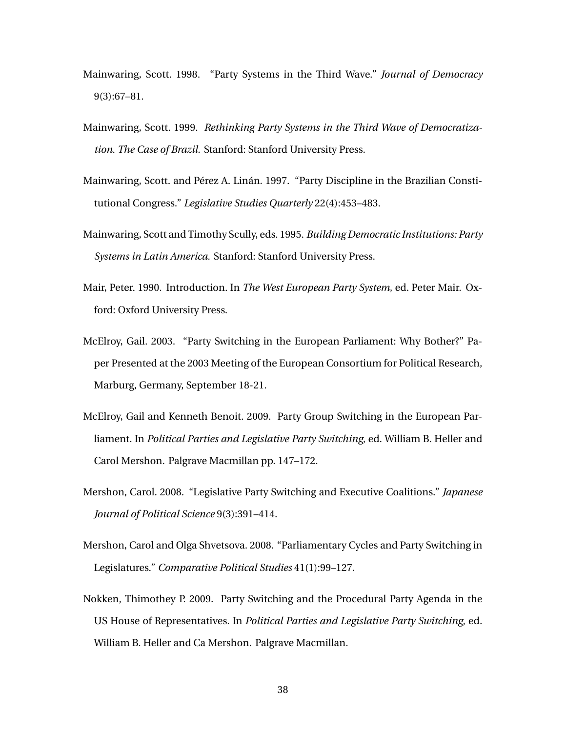- Mainwaring, Scott. 1998. "Party Systems in the Third Wave." *Journal of Democracy* 9(3):67–81.
- Mainwaring, Scott. 1999. *Rethinking Party Systems in the Third Wave of Democratization. The Case of Brazil*. Stanford: Stanford University Press.
- Mainwaring, Scott. and Pérez A. Linán. 1997. "Party Discipline in the Brazilian Constitutional Congress." *Legislative Studies Quarterly* 22(4):453–483.
- Mainwaring, Scott and Timothy Scully, eds. 1995. *Building Democratic Institutions: Party Systems in Latin America.* Stanford: Stanford University Press.
- Mair, Peter. 1990. Introduction. In *The West European Party System*, ed. Peter Mair. Oxford: Oxford University Press.
- McElroy, Gail. 2003. "Party Switching in the European Parliament: Why Bother?" Paper Presented at the 2003 Meeting of the European Consortium for Political Research, Marburg, Germany, September 18-21.
- McElroy, Gail and Kenneth Benoit. 2009. Party Group Switching in the European Parliament. In *Political Parties and Legislative Party Switching*, ed. William B. Heller and Carol Mershon. Palgrave Macmillan pp. 147–172.
- Mershon, Carol. 2008. "Legislative Party Switching and Executive Coalitions." *Japanese Journal of Political Science* 9(3):391–414.
- Mershon, Carol and Olga Shvetsova. 2008. "Parliamentary Cycles and Party Switching in Legislatures." *Comparative Political Studies* 41(1):99–127.
- Nokken, Thimothey P. 2009. Party Switching and the Procedural Party Agenda in the US House of Representatives. In *Political Parties and Legislative Party Switching*, ed. William B. Heller and Ca Mershon. Palgrave Macmillan.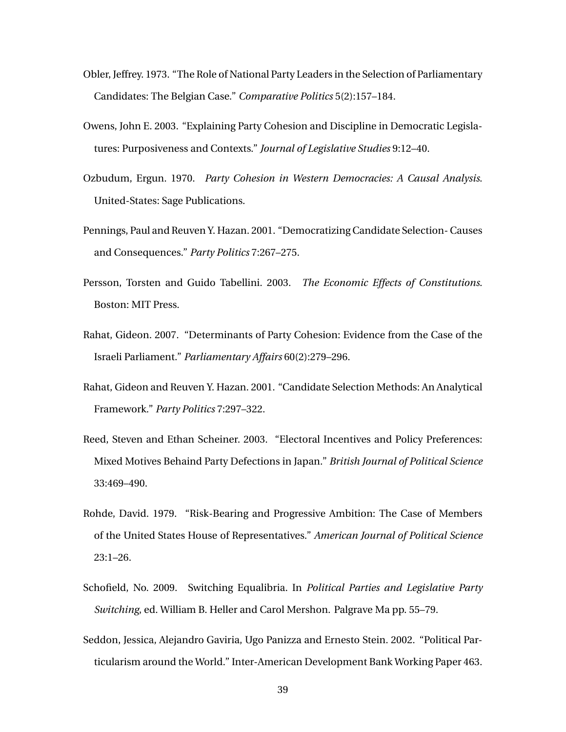- Obler, Jeffrey. 1973. "The Role of National Party Leaders in the Selection of Parliamentary Candidates: The Belgian Case." *Comparative Politics* 5(2):157–184.
- Owens, John E. 2003. "Explaining Party Cohesion and Discipline in Democratic Legislatures: Purposiveness and Contexts." *Journal of Legislative Studies* 9:12–40.
- Ozbudum, Ergun. 1970. *Party Cohesion in Western Democracies: A Causal Analysis*. United-States: Sage Publications.
- Pennings, Paul and Reuven Y. Hazan. 2001. "Democratizing Candidate Selection- Causes and Consequences." *Party Politics* 7:267–275.
- Persson, Torsten and Guido Tabellini. 2003. *The Economic Effects of Constitutions*. Boston: MIT Press.
- Rahat, Gideon. 2007. "Determinants of Party Cohesion: Evidence from the Case of the Israeli Parliament." *Parliamentary Affairs* 60(2):279–296.
- Rahat, Gideon and Reuven Y. Hazan. 2001. "Candidate Selection Methods: An Analytical Framework." *Party Politics* 7:297–322.
- Reed, Steven and Ethan Scheiner. 2003. "Electoral Incentives and Policy Preferences: Mixed Motives Behaind Party Defections in Japan." *British Journal of Political Science* 33:469–490.
- Rohde, David. 1979. "Risk-Bearing and Progressive Ambition: The Case of Members of the United States House of Representatives." *American Journal of Political Science* 23:1–26.
- Schofield, No. 2009. Switching Equalibria. In *Political Parties and Legislative Party Switching*, ed. William B. Heller and Carol Mershon. Palgrave Ma pp. 55–79.
- Seddon, Jessica, Alejandro Gaviria, Ugo Panizza and Ernesto Stein. 2002. "Political Particularism around the World." Inter-American Development Bank Working Paper 463.